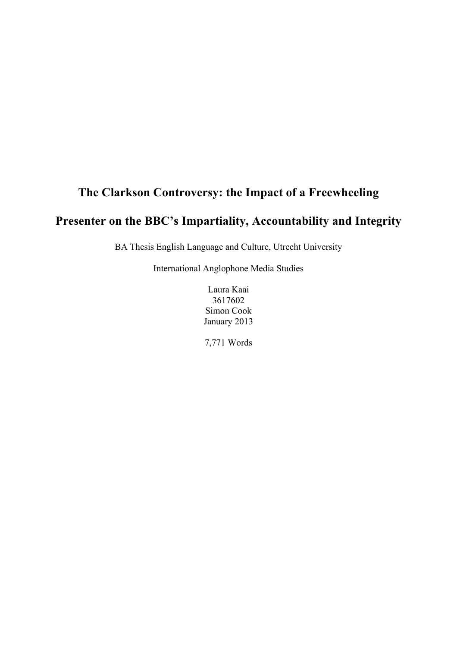# **The Clarkson Controversy: the Impact of a Freewheeling**

# **Presenter on the BBC's Impartiality, Accountability and Integrity**

BA Thesis English Language and Culture, Utrecht University

International Anglophone Media Studies

Laura Kaai 3617602 Simon Cook January 2013

7,771 Words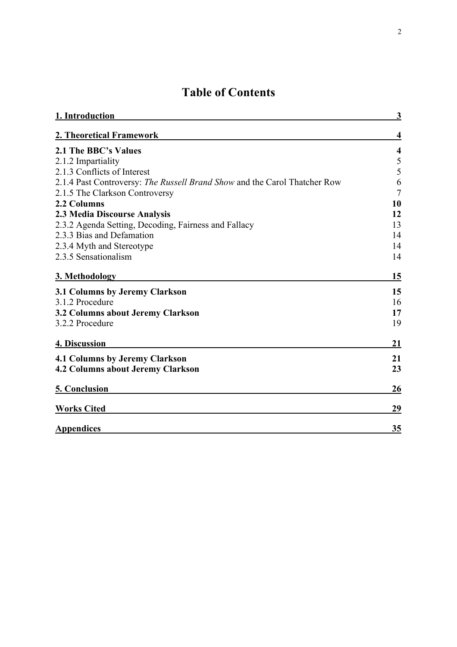# **Table of Contents**

| 1. Introduction                                                           | 3                       |
|---------------------------------------------------------------------------|-------------------------|
| 2. Theoretical Framework                                                  | $\overline{\mathbf{4}}$ |
| 2.1 The BBC's Values                                                      | $\overline{\mathbf{4}}$ |
| 2.1.2 Impartiality                                                        | 5                       |
| 2.1.3 Conflicts of Interest                                               | 5                       |
| 2.1.4 Past Controversy: The Russell Brand Show and the Carol Thatcher Row | 6                       |
| 2.1.5 The Clarkson Controversy                                            | $\tau$                  |
| 2.2 Columns                                                               | 10                      |
| 2.3 Media Discourse Analysis                                              | 12                      |
| 2.3.2 Agenda Setting, Decoding, Fairness and Fallacy                      | 13                      |
| 2.3.3 Bias and Defamation                                                 | 14                      |
| 2.3.4 Myth and Stereotype                                                 | 14                      |
| 2.3.5 Sensationalism                                                      | 14                      |
| 3. Methodology                                                            | 15                      |
| <b>3.1 Columns by Jeremy Clarkson</b>                                     | 15                      |
| 3.1.2 Procedure                                                           | 16                      |
| 3.2 Columns about Jeremy Clarkson                                         | 17                      |
| 3.2.2 Procedure                                                           | 19                      |
| 4. Discussion                                                             | 21                      |
| <b>4.1 Columns by Jeremy Clarkson</b>                                     | 21                      |
| <b>4.2 Columns about Jeremy Clarkson</b>                                  | 23                      |
| 5. Conclusion                                                             | <u>26</u>               |
| <b>Works Cited</b>                                                        | 29                      |
| <b>Appendices</b>                                                         | 35                      |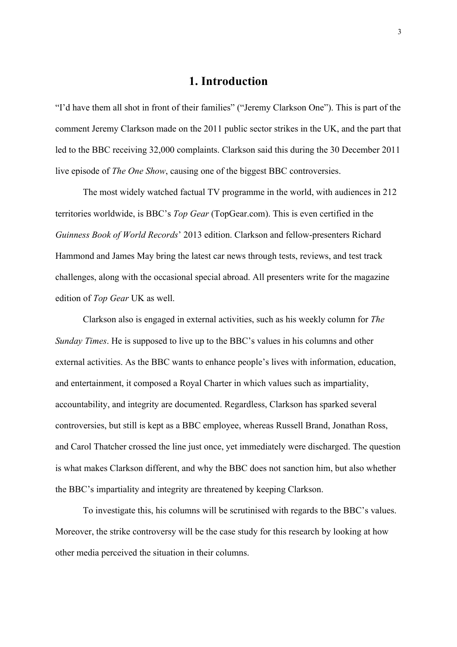## **1. Introduction**

"I'd have them all shot in front of their families" ("Jeremy Clarkson One"). This is part of the comment Jeremy Clarkson made on the 2011 public sector strikes in the UK, and the part that led to the BBC receiving 32,000 complaints. Clarkson said this during the 30 December 2011 live episode of *The One Show*, causing one of the biggest BBC controversies.

The most widely watched factual TV programme in the world, with audiences in 212 territories worldwide, is BBC's *Top Gear* (TopGear.com). This is even certified in the *Guinness Book of World Records*' 2013 edition. Clarkson and fellow-presenters Richard Hammond and James May bring the latest car news through tests, reviews, and test track challenges, along with the occasional special abroad. All presenters write for the magazine edition of *Top Gear* UK as well.

Clarkson also is engaged in external activities, such as his weekly column for *The Sunday Times*. He is supposed to live up to the BBC's values in his columns and other external activities. As the BBC wants to enhance people's lives with information, education, and entertainment, it composed a Royal Charter in which values such as impartiality, accountability, and integrity are documented. Regardless, Clarkson has sparked several controversies, but still is kept as a BBC employee, whereas Russell Brand, Jonathan Ross, and Carol Thatcher crossed the line just once, yet immediately were discharged. The question is what makes Clarkson different, and why the BBC does not sanction him, but also whether the BBC's impartiality and integrity are threatened by keeping Clarkson.

To investigate this, his columns will be scrutinised with regards to the BBC's values. Moreover, the strike controversy will be the case study for this research by looking at how other media perceived the situation in their columns.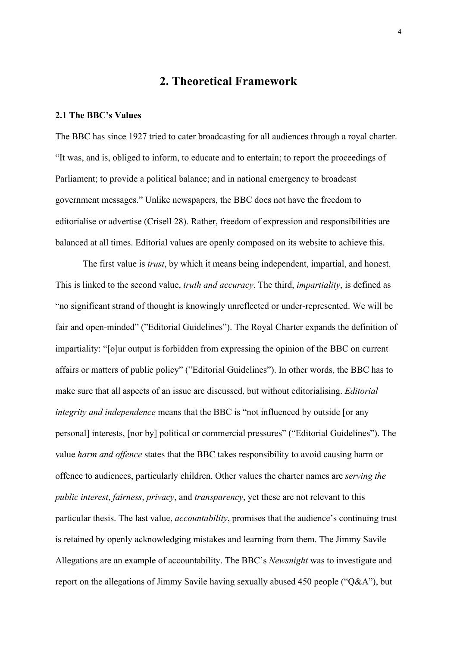## **2. Theoretical Framework**

#### **2.1 The BBC's Values**

The BBC has since 1927 tried to cater broadcasting for all audiences through a royal charter. "It was, and is, obliged to inform, to educate and to entertain; to report the proceedings of Parliament; to provide a political balance; and in national emergency to broadcast government messages." Unlike newspapers, the BBC does not have the freedom to editorialise or advertise (Crisell 28). Rather, freedom of expression and responsibilities are balanced at all times. Editorial values are openly composed on its website to achieve this.

The first value is *trust*, by which it means being independent, impartial, and honest. This is linked to the second value, *truth and accuracy*. The third, *impartiality*, is defined as "no significant strand of thought is knowingly unreflected or under-represented. We will be fair and open-minded" ("Editorial Guidelines"). The Royal Charter expands the definition of impartiality: "[o]ur output is forbidden from expressing the opinion of the BBC on current affairs or matters of public policy" ("Editorial Guidelines"). In other words, the BBC has to make sure that all aspects of an issue are discussed, but without editorialising. *Editorial integrity and independence* means that the BBC is "not influenced by outside [or any personal] interests, [nor by] political or commercial pressures" ("Editorial Guidelines"). The value *harm and offence* states that the BBC takes responsibility to avoid causing harm or offence to audiences, particularly children. Other values the charter names are *serving the public interest*, *fairness*, *privacy*, and *transparency*, yet these are not relevant to this particular thesis. The last value, *accountability*, promises that the audience's continuing trust is retained by openly acknowledging mistakes and learning from them. The Jimmy Savile Allegations are an example of accountability. The BBC's *Newsnight* was to investigate and report on the allegations of Jimmy Savile having sexually abused 450 people ("Q&A"), but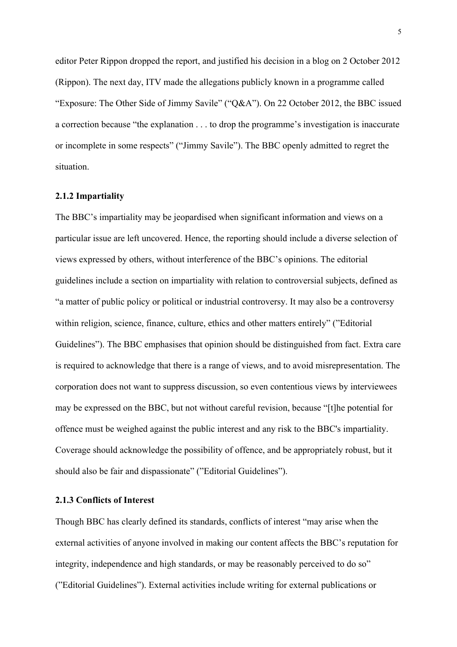editor Peter Rippon dropped the report, and justified his decision in a blog on 2 October 2012 (Rippon). The next day, ITV made the allegations publicly known in a programme called "Exposure: The Other Side of Jimmy Savile" ("Q&A"). On 22 October 2012, the BBC issued a correction because "the explanation . . . to drop the programme's investigation is inaccurate or incomplete in some respects" ("Jimmy Savile"). The BBC openly admitted to regret the situation.

#### **2.1.2 Impartiality**

The BBC's impartiality may be jeopardised when significant information and views on a particular issue are left uncovered. Hence, the reporting should include a diverse selection of views expressed by others, without interference of the BBC's opinions. The editorial guidelines include a section on impartiality with relation to controversial subjects, defined as "a matter of public policy or political or industrial controversy. It may also be a controversy within religion, science, finance, culture, ethics and other matters entirely" ("Editorial Guidelines"). The BBC emphasises that opinion should be distinguished from fact. Extra care is required to acknowledge that there is a range of views, and to avoid misrepresentation. The corporation does not want to suppress discussion, so even contentious views by interviewees may be expressed on the BBC, but not without careful revision, because "[t]he potential for offence must be weighed against the public interest and any risk to the BBC's impartiality. Coverage should acknowledge the possibility of offence, and be appropriately robust, but it should also be fair and dispassionate" ("Editorial Guidelines").

### **2.1.3 Conflicts of Interest**

Though BBC has clearly defined its standards, conflicts of interest "may arise when the external activities of anyone involved in making our content affects the BBC's reputation for integrity, independence and high standards, or may be reasonably perceived to do so" ("Editorial Guidelines"). External activities include writing for external publications or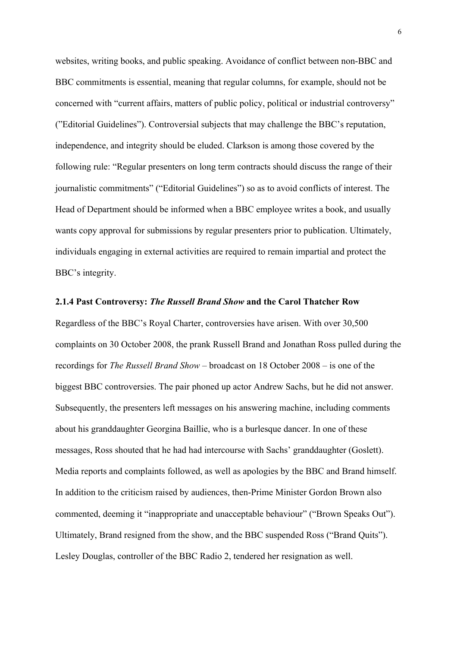websites, writing books, and public speaking. Avoidance of conflict between non-BBC and BBC commitments is essential, meaning that regular columns, for example, should not be concerned with "current affairs, matters of public policy, political or industrial controversy" ("Editorial Guidelines"). Controversial subjects that may challenge the BBC's reputation, independence, and integrity should be eluded. Clarkson is among those covered by the following rule: "Regular presenters on long term contracts should discuss the range of their journalistic commitments" ("Editorial Guidelines") so as to avoid conflicts of interest. The Head of Department should be informed when a BBC employee writes a book, and usually wants copy approval for submissions by regular presenters prior to publication. Ultimately, individuals engaging in external activities are required to remain impartial and protect the BBC's integrity.

#### **2.1.4 Past Controversy:** *The Russell Brand Show* **and the Carol Thatcher Row**

Regardless of the BBC's Royal Charter, controversies have arisen. With over 30,500 complaints on 30 October 2008, the prank Russell Brand and Jonathan Ross pulled during the recordings for *The Russell Brand Show* – broadcast on 18 October 2008 – is one of the biggest BBC controversies. The pair phoned up actor Andrew Sachs, but he did not answer. Subsequently, the presenters left messages on his answering machine, including comments about his granddaughter Georgina Baillie, who is a burlesque dancer. In one of these messages, Ross shouted that he had had intercourse with Sachs' granddaughter (Goslett). Media reports and complaints followed, as well as apologies by the BBC and Brand himself. In addition to the criticism raised by audiences, then-Prime Minister Gordon Brown also commented, deeming it "inappropriate and unacceptable behaviour" ("Brown Speaks Out"). Ultimately, Brand resigned from the show, and the BBC suspended Ross ("Brand Quits"). Lesley Douglas, controller of the BBC Radio 2, tendered her resignation as well.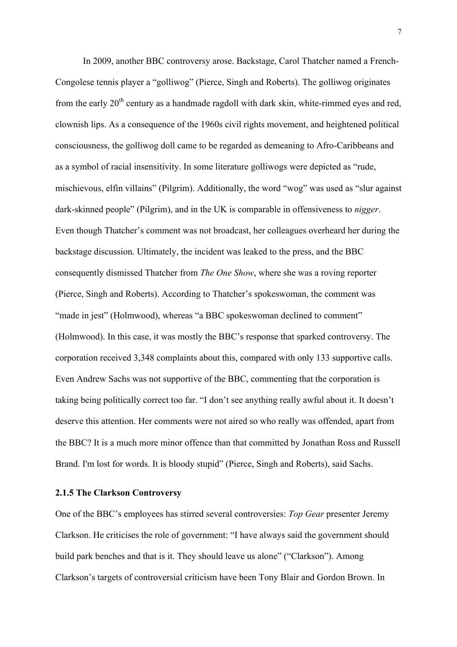In 2009, another BBC controversy arose. Backstage, Carol Thatcher named a French-Congolese tennis player a "golliwog" (Pierce, Singh and Roberts). The golliwog originates from the early  $20<sup>th</sup>$  century as a handmade ragdoll with dark skin, white-rimmed eyes and red, clownish lips. As a consequence of the 1960s civil rights movement, and heightened political consciousness, the golliwog doll came to be regarded as demeaning to Afro-Caribbeans and as a symbol of racial insensitivity. In some literature golliwogs were depicted as "rude, mischievous, elfin villains" (Pilgrim). Additionally, the word "wog" was used as "slur against dark-skinned people" (Pilgrim), and in the UK is comparable in offensiveness to *nigger*. Even though Thatcher's comment was not broadcast, her colleagues overheard her during the backstage discussion. Ultimately, the incident was leaked to the press, and the BBC consequently dismissed Thatcher from *The One Show*, where she was a roving reporter (Pierce, Singh and Roberts). According to Thatcher's spokeswoman, the comment was "made in jest" (Holmwood), whereas "a BBC spokeswoman declined to comment" (Holmwood). In this case, it was mostly the BBC's response that sparked controversy. The corporation received 3,348 complaints about this, compared with only 133 supportive calls. Even Andrew Sachs was not supportive of the BBC, commenting that the corporation is taking being politically correct too far. "I don't see anything really awful about it. It doesn't deserve this attention. Her comments were not aired so who really was offended, apart from the BBC? It is a much more minor offence than that committed by Jonathan Ross and Russell Brand. I'm lost for words. It is bloody stupid" (Pierce, Singh and Roberts), said Sachs.

### **2.1.5 The Clarkson Controversy**

One of the BBC's employees has stirred several controversies: *Top Gear* presenter Jeremy Clarkson. He criticises the role of government: "I have always said the government should build park benches and that is it. They should leave us alone" ("Clarkson"). Among Clarkson's targets of controversial criticism have been Tony Blair and Gordon Brown. In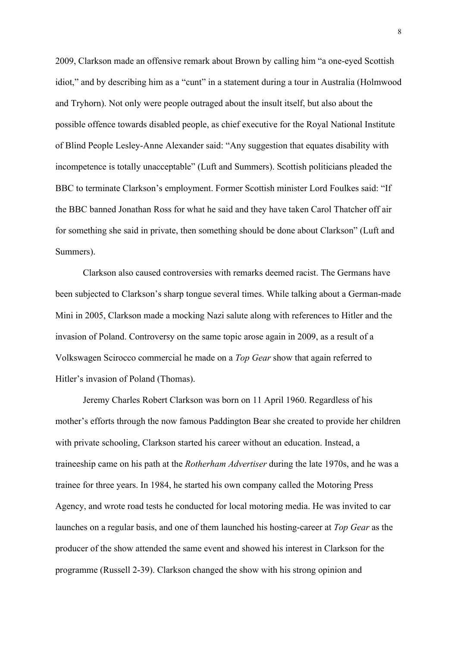2009, Clarkson made an offensive remark about Brown by calling him "a one-eyed Scottish idiot," and by describing him as a "cunt" in a statement during a tour in Australia (Holmwood and Tryhorn). Not only were people outraged about the insult itself, but also about the possible offence towards disabled people, as chief executive for the Royal National Institute of Blind People Lesley-Anne Alexander said: "Any suggestion that equates disability with incompetence is totally unacceptable" (Luft and Summers). Scottish politicians pleaded the BBC to terminate Clarkson's employment. Former Scottish minister Lord Foulkes said: "If the BBC banned Jonathan Ross for what he said and they have taken Carol Thatcher off air for something she said in private, then something should be done about Clarkson" (Luft and Summers).

Clarkson also caused controversies with remarks deemed racist. The Germans have been subjected to Clarkson's sharp tongue several times. While talking about a German-made Mini in 2005, Clarkson made a mocking Nazi salute along with references to Hitler and the invasion of Poland. Controversy on the same topic arose again in 2009, as a result of a Volkswagen Scirocco commercial he made on a *Top Gear* show that again referred to Hitler's invasion of Poland (Thomas).

Jeremy Charles Robert Clarkson was born on 11 April 1960. Regardless of his mother's efforts through the now famous Paddington Bear she created to provide her children with private schooling, Clarkson started his career without an education. Instead, a traineeship came on his path at the *Rotherham Advertiser* during the late 1970s, and he was a trainee for three years. In 1984, he started his own company called the Motoring Press Agency, and wrote road tests he conducted for local motoring media. He was invited to car launches on a regular basis, and one of them launched his hosting-career at *Top Gear* as the producer of the show attended the same event and showed his interest in Clarkson for the programme (Russell 2-39). Clarkson changed the show with his strong opinion and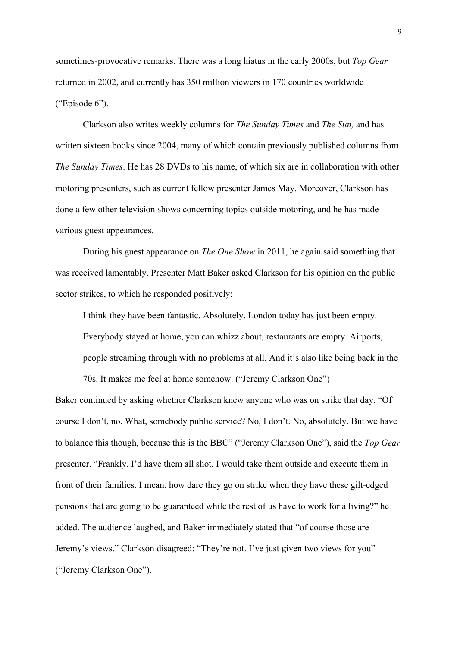sometimes-provocative remarks. There was a long hiatus in the early 2000s, but *Top Gear* returned in 2002, and currently has 350 million viewers in 170 countries worldwide ("Episode 6").

Clarkson also writes weekly columns for *The Sunday Times* and *The Sun,* and has written sixteen books since 2004, many of which contain previously published columns from *The Sunday Times*. He has 28 DVDs to his name, of which six are in collaboration with other motoring presenters, such as current fellow presenter James May. Moreover, Clarkson has done a few other television shows concerning topics outside motoring, and he has made various guest appearances.

During his guest appearance on *The One Show* in 2011, he again said something that was received lamentably. Presenter Matt Baker asked Clarkson for his opinion on the public sector strikes, to which he responded positively:

I think they have been fantastic. Absolutely. London today has just been empty. Everybody stayed at home, you can whizz about, restaurants are empty. Airports, people streaming through with no problems at all. And it's also like being back in the

70s. It makes me feel at home somehow. ("Jeremy Clarkson One") Baker continued by asking whether Clarkson knew anyone who was on strike that day. "Of course I don't, no. What, somebody public service? No, I don't. No, absolutely. But we have to balance this though, because this is the BBC" ("Jeremy Clarkson One"), said the *Top Gear* presenter. "Frankly, I'd have them all shot. I would take them outside and execute them in front of their families. I mean, how dare they go on strike when they have these gilt-edged pensions that are going to be guaranteed while the rest of us have to work for a living?" he added. The audience laughed, and Baker immediately stated that "of course those are Jeremy's views." Clarkson disagreed: "They're not. I've just given two views for you" ("Jeremy Clarkson One").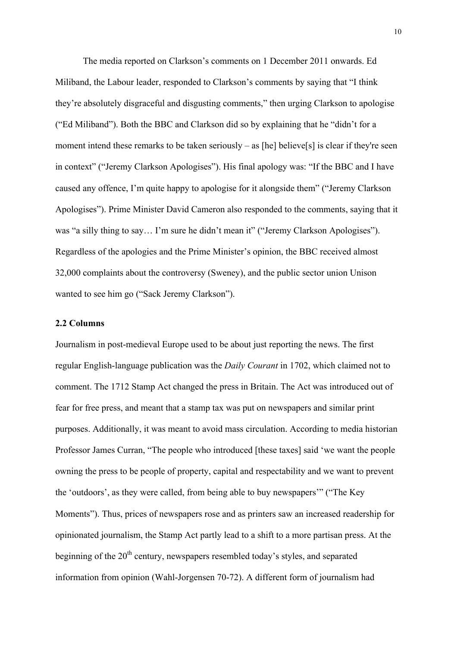The media reported on Clarkson's comments on 1 December 2011 onwards. Ed Miliband, the Labour leader, responded to Clarkson's comments by saying that "I think they're absolutely disgraceful and disgusting comments," then urging Clarkson to apologise ("Ed Miliband"). Both the BBC and Clarkson did so by explaining that he "didn't for a moment intend these remarks to be taken seriously – as [he] believe[s] is clear if they're seen in context" ("Jeremy Clarkson Apologises"). His final apology was: "If the BBC and I have caused any offence, I'm quite happy to apologise for it alongside them" ("Jeremy Clarkson Apologises"). Prime Minister David Cameron also responded to the comments, saying that it was "a silly thing to say... I'm sure he didn't mean it" ("Jeremy Clarkson Apologises"). Regardless of the apologies and the Prime Minister's opinion, the BBC received almost 32,000 complaints about the controversy (Sweney), and the public sector union Unison wanted to see him go ("Sack Jeremy Clarkson").

#### **2.2 Columns**

Journalism in post-medieval Europe used to be about just reporting the news. The first regular English-language publication was the *Daily Courant* in 1702, which claimed not to comment. The 1712 Stamp Act changed the press in Britain. The Act was introduced out of fear for free press, and meant that a stamp tax was put on newspapers and similar print purposes. Additionally, it was meant to avoid mass circulation. According to media historian Professor James Curran, "The people who introduced [these taxes] said 'we want the people owning the press to be people of property, capital and respectability and we want to prevent the 'outdoors', as they were called, from being able to buy newspapers'" ("The Key Moments"). Thus, prices of newspapers rose and as printers saw an increased readership for opinionated journalism, the Stamp Act partly lead to a shift to a more partisan press. At the beginning of the  $20<sup>th</sup>$  century, newspapers resembled today's styles, and separated information from opinion (Wahl-Jorgensen 70-72). A different form of journalism had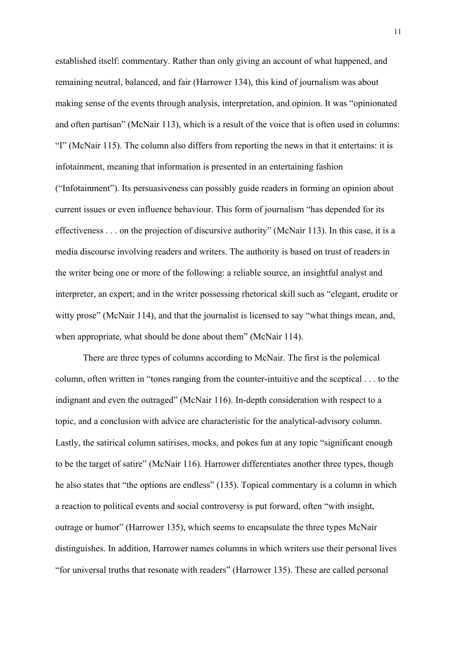established itself: commentary. Rather than only giving an account of what happened, and remaining neutral, balanced, and fair (Harrower 134), this kind of journalism was about making sense of the events through analysis, interpretation, and opinion. It was "opinionated and often partisan" (McNair 113), which is a result of the voice that is often used in columns: "I" (McNair 115). The column also differs from reporting the news in that it entertains: it is infotainment, meaning that information is presented in an entertaining fashion

("Infotainment"). Its persuasiveness can possibly guide readers in forming an opinion about current issues or even influence behaviour. This form of journalism "has depended for its effectiveness . . . on the projection of discursive authority" (McNair 113). In this case, it is a media discourse involving readers and writers. The authority is based on trust of readers in the writer being one or more of the following: a reliable source, an insightful analyst and interpreter, an expert; and in the writer possessing rhetorical skill such as "elegant, erudite or witty prose" (McNair 114), and that the journalist is licensed to say "what things mean, and, when appropriate, what should be done about them" (McNair 114).

There are three types of columns according to McNair. The first is the polemical column, often written in "tones ranging from the counter-intuitive and the sceptical . . . to the indignant and even the outraged" (McNair 116). In-depth consideration with respect to a topic, and a conclusion with advice are characteristic for the analytical-advisory column. Lastly, the satirical column satirises, mocks, and pokes fun at any topic "significant enough to be the target of satire" (McNair 116). Harrower differentiates another three types, though he also states that "the options are endless" (135). Topical commentary is a column in which a reaction to political events and social controversy is put forward, often "with insight, outrage or humor" (Harrower 135), which seems to encapsulate the three types McNair distinguishes. In addition, Harrower names columns in which writers use their personal lives "for universal truths that resonate with readers" (Harrower 135). These are called personal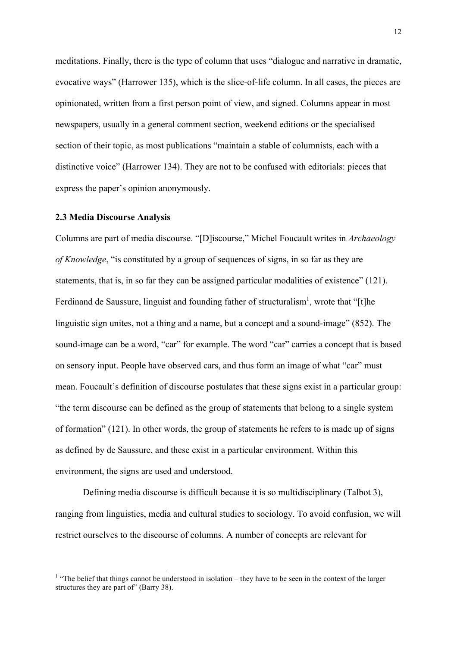meditations. Finally, there is the type of column that uses "dialogue and narrative in dramatic, evocative ways" (Harrower 135), which is the slice-of-life column. In all cases, the pieces are opinionated, written from a first person point of view, and signed. Columns appear in most newspapers, usually in a general comment section, weekend editions or the specialised section of their topic, as most publications "maintain a stable of columnists, each with a distinctive voice" (Harrower 134). They are not to be confused with editorials: pieces that express the paper's opinion anonymously.

### **2.3 Media Discourse Analysis**

Columns are part of media discourse. "[D]iscourse," Michel Foucault writes in *Archaeology of Knowledge*, "is constituted by a group of sequences of signs, in so far as they are statements, that is, in so far they can be assigned particular modalities of existence" (121). Ferdinand de Saussure, linguist and founding father of structuralism<sup>1</sup>, wrote that "[t]he linguistic sign unites, not a thing and a name, but a concept and a sound-image" (852). The sound-image can be a word, "car" for example. The word "car" carries a concept that is based on sensory input. People have observed cars, and thus form an image of what "car" must mean. Foucault's definition of discourse postulates that these signs exist in a particular group: "the term discourse can be defined as the group of statements that belong to a single system of formation" (121). In other words, the group of statements he refers to is made up of signs as defined by de Saussure, and these exist in a particular environment. Within this environment, the signs are used and understood.

Defining media discourse is difficult because it is so multidisciplinary (Talbot 3), ranging from linguistics, media and cultural studies to sociology. To avoid confusion, we will restrict ourselves to the discourse of columns. A number of concepts are relevant for

<sup>&</sup>lt;sup>1</sup> "The belief that things cannot be understood in isolation – they have to be seen in the context of the larger structures they are part of" (Barry 38).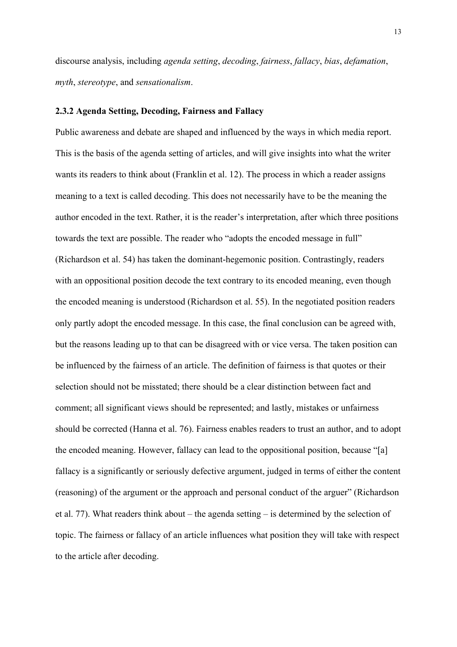discourse analysis, including *agenda setting*, *decoding*, *fairness*, *fallacy*, *bias*, *defamation*, *myth*, *stereotype*, and *sensationalism*.

#### **2.3.2 Agenda Setting, Decoding, Fairness and Fallacy**

Public awareness and debate are shaped and influenced by the ways in which media report. This is the basis of the agenda setting of articles, and will give insights into what the writer wants its readers to think about (Franklin et al. 12). The process in which a reader assigns meaning to a text is called decoding. This does not necessarily have to be the meaning the author encoded in the text. Rather, it is the reader's interpretation, after which three positions towards the text are possible. The reader who "adopts the encoded message in full" (Richardson et al. 54) has taken the dominant-hegemonic position. Contrastingly, readers with an oppositional position decode the text contrary to its encoded meaning, even though the encoded meaning is understood (Richardson et al. 55). In the negotiated position readers only partly adopt the encoded message. In this case, the final conclusion can be agreed with, but the reasons leading up to that can be disagreed with or vice versa. The taken position can be influenced by the fairness of an article. The definition of fairness is that quotes or their selection should not be misstated; there should be a clear distinction between fact and comment; all significant views should be represented; and lastly, mistakes or unfairness should be corrected (Hanna et al. 76). Fairness enables readers to trust an author, and to adopt the encoded meaning. However, fallacy can lead to the oppositional position, because "[a] fallacy is a significantly or seriously defective argument, judged in terms of either the content (reasoning) of the argument or the approach and personal conduct of the arguer" (Richardson et al. 77). What readers think about – the agenda setting – is determined by the selection of topic. The fairness or fallacy of an article influences what position they will take with respect to the article after decoding.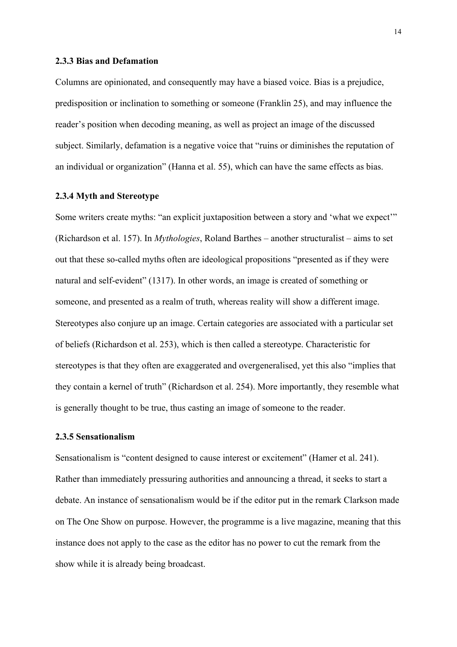#### **2.3.3 Bias and Defamation**

Columns are opinionated, and consequently may have a biased voice. Bias is a prejudice, predisposition or inclination to something or someone (Franklin 25), and may influence the reader's position when decoding meaning, as well as project an image of the discussed subject. Similarly, defamation is a negative voice that "ruins or diminishes the reputation of an individual or organization" (Hanna et al. 55), which can have the same effects as bias.

#### **2.3.4 Myth and Stereotype**

Some writers create myths: "an explicit juxtaposition between a story and 'what we expect'" (Richardson et al. 157). In *Mythologies*, Roland Barthes – another structuralist – aims to set out that these so-called myths often are ideological propositions "presented as if they were natural and self-evident" (1317). In other words, an image is created of something or someone, and presented as a realm of truth, whereas reality will show a different image. Stereotypes also conjure up an image. Certain categories are associated with a particular set of beliefs (Richardson et al. 253), which is then called a stereotype. Characteristic for stereotypes is that they often are exaggerated and overgeneralised, yet this also "implies that they contain a kernel of truth" (Richardson et al. 254). More importantly, they resemble what is generally thought to be true, thus casting an image of someone to the reader.

### **2.3.5 Sensationalism**

Sensationalism is "content designed to cause interest or excitement" (Hamer et al. 241). Rather than immediately pressuring authorities and announcing a thread, it seeks to start a debate. An instance of sensationalism would be if the editor put in the remark Clarkson made on The One Show on purpose. However, the programme is a live magazine, meaning that this instance does not apply to the case as the editor has no power to cut the remark from the show while it is already being broadcast.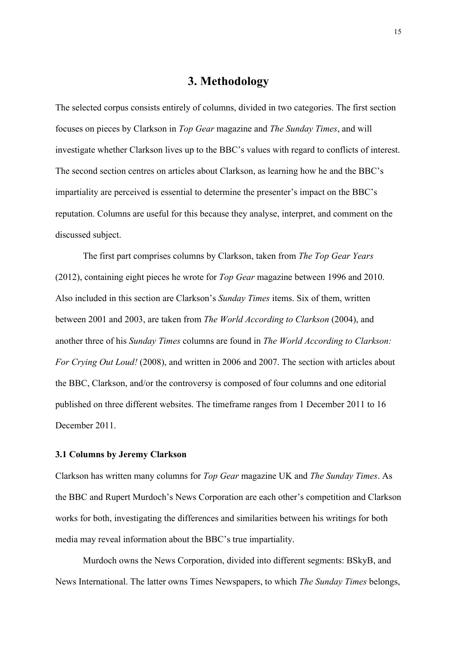# **3. Methodology**

The selected corpus consists entirely of columns, divided in two categories. The first section focuses on pieces by Clarkson in *Top Gear* magazine and *The Sunday Times*, and will investigate whether Clarkson lives up to the BBC's values with regard to conflicts of interest. The second section centres on articles about Clarkson, as learning how he and the BBC's impartiality are perceived is essential to determine the presenter's impact on the BBC's reputation. Columns are useful for this because they analyse, interpret, and comment on the discussed subject.

The first part comprises columns by Clarkson, taken from *The Top Gear Years* (2012), containing eight pieces he wrote for *Top Gear* magazine between 1996 and 2010. Also included in this section are Clarkson's *Sunday Times* items. Six of them, written between 2001 and 2003, are taken from *The World According to Clarkson* (2004), and another three of his *Sunday Times* columns are found in *The World According to Clarkson: For Crying Out Loud!* (2008), and written in 2006 and 2007. The section with articles about the BBC, Clarkson, and/or the controversy is composed of four columns and one editorial published on three different websites. The timeframe ranges from 1 December 2011 to 16 December 2011.

#### **3.1 Columns by Jeremy Clarkson**

Clarkson has written many columns for *Top Gear* magazine UK and *The Sunday Times*. As the BBC and Rupert Murdoch's News Corporation are each other's competition and Clarkson works for both, investigating the differences and similarities between his writings for both media may reveal information about the BBC's true impartiality.

Murdoch owns the News Corporation, divided into different segments: BSkyB, and News International. The latter owns Times Newspapers, to which *The Sunday Times* belongs,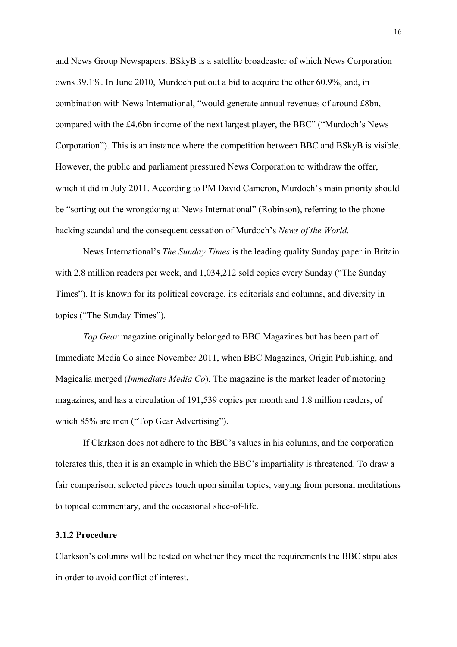and News Group Newspapers. BSkyB is a satellite broadcaster of which News Corporation owns 39.1%. In June 2010, Murdoch put out a bid to acquire the other 60.9%, and, in combination with News International, "would generate annual revenues of around £8bn, compared with the £4.6bn income of the next largest player, the BBC" ("Murdoch's News Corporation"). This is an instance where the competition between BBC and BSkyB is visible. However, the public and parliament pressured News Corporation to withdraw the offer, which it did in July 2011. According to PM David Cameron, Murdoch's main priority should be "sorting out the wrongdoing at News International" (Robinson), referring to the phone hacking scandal and the consequent cessation of Murdoch's *News of the World*.

News International's *The Sunday Times* is the leading quality Sunday paper in Britain with 2.8 million readers per week, and 1,034,212 sold copies every Sunday ("The Sunday Times"). It is known for its political coverage, its editorials and columns, and diversity in topics ("The Sunday Times").

*Top Gear* magazine originally belonged to BBC Magazines but has been part of Immediate Media Co since November 2011, when BBC Magazines, Origin Publishing, and Magicalia merged (*Immediate Media Co*). The magazine is the market leader of motoring magazines, and has a circulation of 191,539 copies per month and 1.8 million readers, of which 85% are men ("Top Gear Advertising").

If Clarkson does not adhere to the BBC's values in his columns, and the corporation tolerates this, then it is an example in which the BBC's impartiality is threatened. To draw a fair comparison, selected pieces touch upon similar topics, varying from personal meditations to topical commentary, and the occasional slice-of-life.

### **3.1.2 Procedure**

Clarkson's columns will be tested on whether they meet the requirements the BBC stipulates in order to avoid conflict of interest.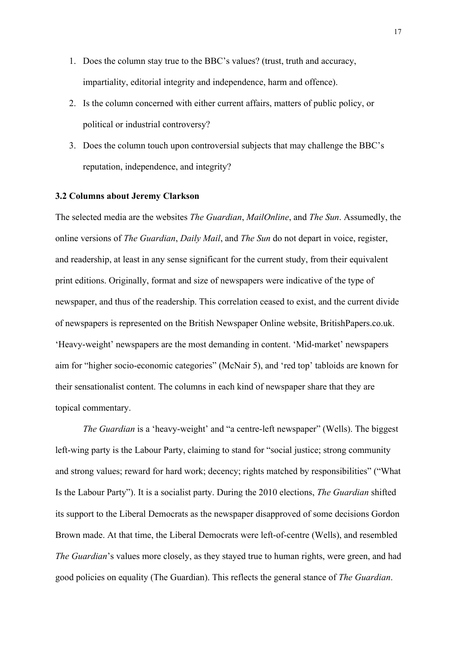- 1. Does the column stay true to the BBC's values? (trust, truth and accuracy, impartiality, editorial integrity and independence, harm and offence).
- 2. Is the column concerned with either current affairs, matters of public policy, or political or industrial controversy?
- 3. Does the column touch upon controversial subjects that may challenge the BBC's reputation, independence, and integrity?

#### **3.2 Columns about Jeremy Clarkson**

The selected media are the websites *The Guardian*, *MailOnline*, and *The Sun*. Assumedly, the online versions of *The Guardian*, *Daily Mail*, and *The Sun* do not depart in voice, register, and readership, at least in any sense significant for the current study, from their equivalent print editions. Originally, format and size of newspapers were indicative of the type of newspaper, and thus of the readership. This correlation ceased to exist, and the current divide of newspapers is represented on the British Newspaper Online website, BritishPapers.co.uk. 'Heavy-weight' newspapers are the most demanding in content. 'Mid-market' newspapers aim for "higher socio-economic categories" (McNair 5), and 'red top' tabloids are known for their sensationalist content. The columns in each kind of newspaper share that they are topical commentary.

*The Guardian* is a 'heavy-weight' and "a centre-left newspaper" (Wells). The biggest left-wing party is the Labour Party, claiming to stand for "social justice; strong community and strong values; reward for hard work; decency; rights matched by responsibilities" ("What Is the Labour Party"). It is a socialist party. During the 2010 elections, *The Guardian* shifted its support to the Liberal Democrats as the newspaper disapproved of some decisions Gordon Brown made. At that time, the Liberal Democrats were left-of-centre (Wells), and resembled *The Guardian*'s values more closely, as they stayed true to human rights, were green, and had good policies on equality (The Guardian). This reflects the general stance of *The Guardian*.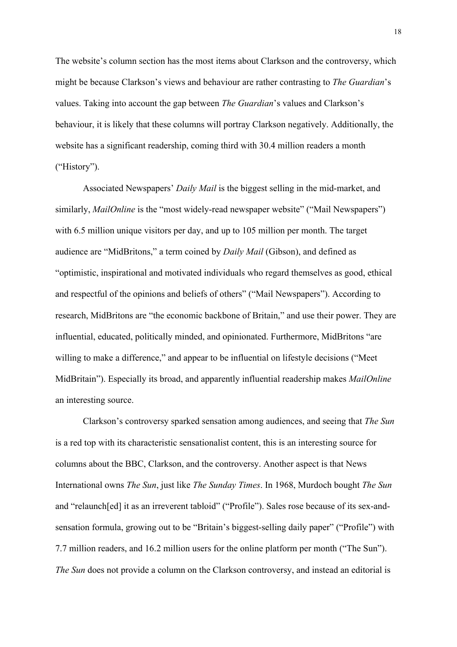The website's column section has the most items about Clarkson and the controversy, which might be because Clarkson's views and behaviour are rather contrasting to *The Guardian*'s values. Taking into account the gap between *The Guardian*'s values and Clarkson's behaviour, it is likely that these columns will portray Clarkson negatively. Additionally, the website has a significant readership, coming third with 30.4 million readers a month ("History").

Associated Newspapers' *Daily Mail* is the biggest selling in the mid-market, and similarly, *MailOnline* is the "most widely-read newspaper website" ("Mail Newspapers") with 6.5 million unique visitors per day, and up to 105 million per month. The target audience are "MidBritons," a term coined by *Daily Mail* (Gibson), and defined as "optimistic, inspirational and motivated individuals who regard themselves as good, ethical and respectful of the opinions and beliefs of others" ("Mail Newspapers"). According to research, MidBritons are "the economic backbone of Britain," and use their power. They are influential, educated, politically minded, and opinionated. Furthermore, MidBritons "are willing to make a difference," and appear to be influential on lifestyle decisions ("Meet MidBritain"). Especially its broad, and apparently influential readership makes *MailOnline* an interesting source.

Clarkson's controversy sparked sensation among audiences, and seeing that *The Sun* is a red top with its characteristic sensationalist content, this is an interesting source for columns about the BBC, Clarkson, and the controversy. Another aspect is that News International owns *The Sun*, just like *The Sunday Times*. In 1968, Murdoch bought *The Sun* and "relaunch[ed] it as an irreverent tabloid" ("Profile"). Sales rose because of its sex-andsensation formula, growing out to be "Britain's biggest-selling daily paper" ("Profile") with 7.7 million readers, and 16.2 million users for the online platform per month ("The Sun"). *The Sun* does not provide a column on the Clarkson controversy, and instead an editorial is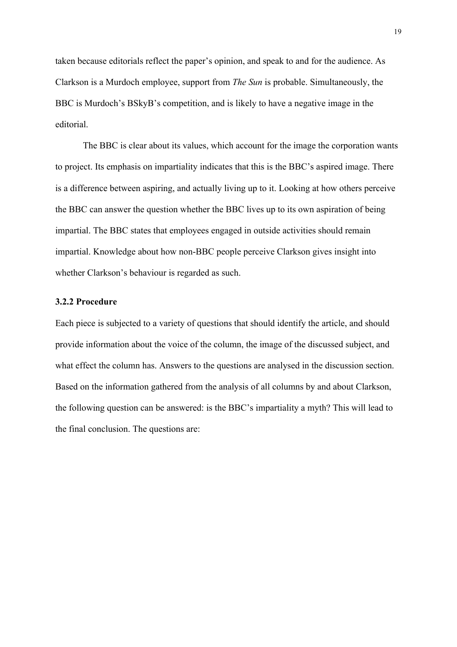taken because editorials reflect the paper's opinion, and speak to and for the audience. As Clarkson is a Murdoch employee, support from *The Sun* is probable. Simultaneously, the BBC is Murdoch's BSkyB's competition, and is likely to have a negative image in the editorial.

The BBC is clear about its values, which account for the image the corporation wants to project. Its emphasis on impartiality indicates that this is the BBC's aspired image. There is a difference between aspiring, and actually living up to it. Looking at how others perceive the BBC can answer the question whether the BBC lives up to its own aspiration of being impartial. The BBC states that employees engaged in outside activities should remain impartial. Knowledge about how non-BBC people perceive Clarkson gives insight into whether Clarkson's behaviour is regarded as such.

#### **3.2.2 Procedure**

Each piece is subjected to a variety of questions that should identify the article, and should provide information about the voice of the column, the image of the discussed subject, and what effect the column has. Answers to the questions are analysed in the discussion section. Based on the information gathered from the analysis of all columns by and about Clarkson, the following question can be answered: is the BBC's impartiality a myth? This will lead to the final conclusion. The questions are: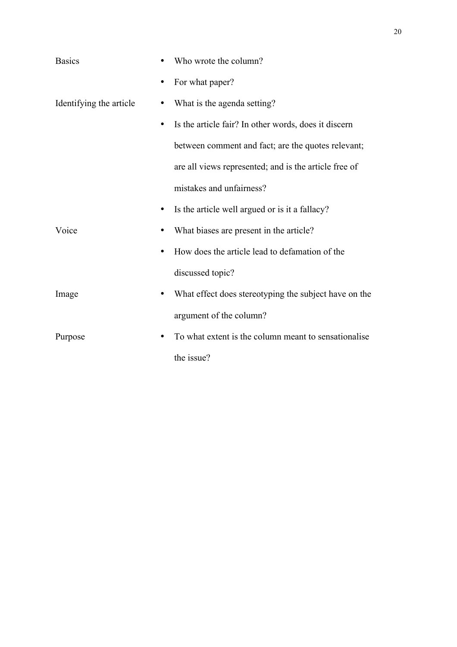| <b>Basics</b>           | Who wrote the column?                                     |  |
|-------------------------|-----------------------------------------------------------|--|
|                         | For what paper?                                           |  |
| Identifying the article | What is the agenda setting?<br>$\bullet$                  |  |
|                         | Is the article fair? In other words, does it discern<br>٠ |  |
|                         | between comment and fact; are the quotes relevant;        |  |
|                         | are all views represented; and is the article free of     |  |
|                         | mistakes and unfairness?                                  |  |
|                         | Is the article well argued or is it a fallacy?            |  |
| Voice                   | What biases are present in the article?                   |  |
|                         | How does the article lead to defamation of the<br>٠       |  |
|                         | discussed topic?                                          |  |
| Image                   | What effect does stereotyping the subject have on the     |  |
|                         | argument of the column?                                   |  |
| Purpose                 | To what extent is the column meant to sensationalise      |  |
|                         | the issue?                                                |  |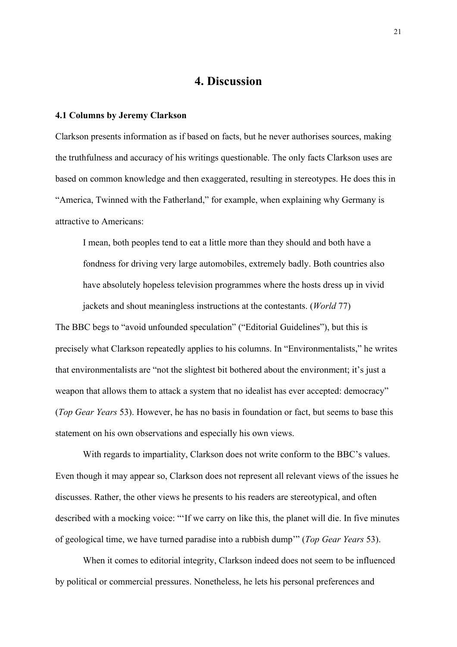## **4. Discussion**

#### **4.1 Columns by Jeremy Clarkson**

Clarkson presents information as if based on facts, but he never authorises sources, making the truthfulness and accuracy of his writings questionable. The only facts Clarkson uses are based on common knowledge and then exaggerated, resulting in stereotypes. He does this in "America, Twinned with the Fatherland," for example, when explaining why Germany is attractive to Americans:

I mean, both peoples tend to eat a little more than they should and both have a fondness for driving very large automobiles, extremely badly. Both countries also have absolutely hopeless television programmes where the hosts dress up in vivid jackets and shout meaningless instructions at the contestants. (*World* 77)

The BBC begs to "avoid unfounded speculation" ("Editorial Guidelines"), but this is precisely what Clarkson repeatedly applies to his columns. In "Environmentalists," he writes that environmentalists are "not the slightest bit bothered about the environment; it's just a weapon that allows them to attack a system that no idealist has ever accepted: democracy" (*Top Gear Years* 53). However, he has no basis in foundation or fact, but seems to base this statement on his own observations and especially his own views.

With regards to impartiality, Clarkson does not write conform to the BBC's values. Even though it may appear so, Clarkson does not represent all relevant views of the issues he discusses. Rather, the other views he presents to his readers are stereotypical, and often described with a mocking voice: "'If we carry on like this, the planet will die. In five minutes of geological time, we have turned paradise into a rubbish dump'" (*Top Gear Years* 53).

When it comes to editorial integrity, Clarkson indeed does not seem to be influenced by political or commercial pressures. Nonetheless, he lets his personal preferences and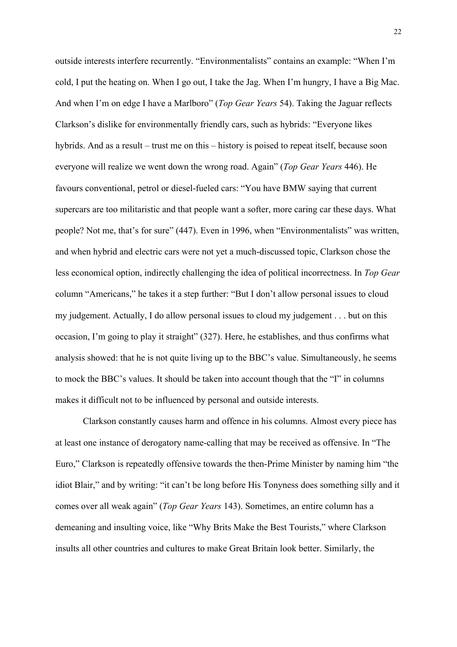outside interests interfere recurrently. "Environmentalists" contains an example: "When I'm cold, I put the heating on. When I go out, I take the Jag. When I'm hungry, I have a Big Mac. And when I'm on edge I have a Marlboro" (*Top Gear Years* 54). Taking the Jaguar reflects Clarkson's dislike for environmentally friendly cars, such as hybrids: "Everyone likes hybrids. And as a result – trust me on this – history is poised to repeat itself, because soon everyone will realize we went down the wrong road. Again" (*Top Gear Years* 446). He favours conventional, petrol or diesel-fueled cars: "You have BMW saying that current supercars are too militaristic and that people want a softer, more caring car these days. What people? Not me, that's for sure" (447). Even in 1996, when "Environmentalists" was written, and when hybrid and electric cars were not yet a much-discussed topic, Clarkson chose the less economical option, indirectly challenging the idea of political incorrectness. In *Top Gear* column "Americans," he takes it a step further: "But I don't allow personal issues to cloud my judgement. Actually, I do allow personal issues to cloud my judgement . . . but on this occasion, I'm going to play it straight" (327). Here, he establishes, and thus confirms what analysis showed: that he is not quite living up to the BBC's value. Simultaneously, he seems to mock the BBC's values. It should be taken into account though that the "I" in columns makes it difficult not to be influenced by personal and outside interests.

Clarkson constantly causes harm and offence in his columns. Almost every piece has at least one instance of derogatory name-calling that may be received as offensive. In "The Euro," Clarkson is repeatedly offensive towards the then-Prime Minister by naming him "the idiot Blair," and by writing: "it can't be long before His Tonyness does something silly and it comes over all weak again" (*Top Gear Years* 143). Sometimes, an entire column has a demeaning and insulting voice, like "Why Brits Make the Best Tourists," where Clarkson insults all other countries and cultures to make Great Britain look better. Similarly, the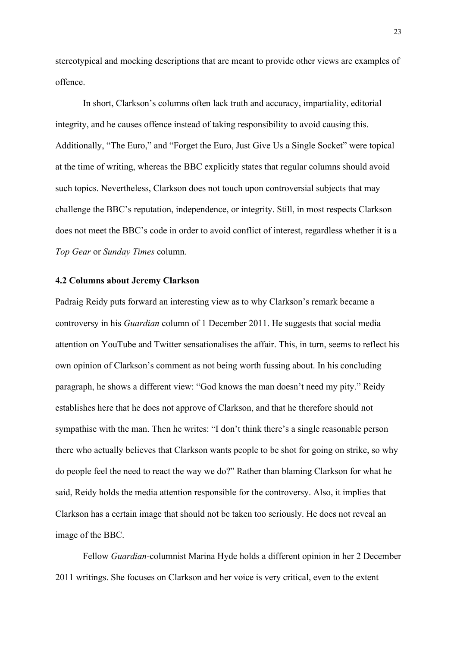stereotypical and mocking descriptions that are meant to provide other views are examples of offence.

In short, Clarkson's columns often lack truth and accuracy, impartiality, editorial integrity, and he causes offence instead of taking responsibility to avoid causing this. Additionally, "The Euro," and "Forget the Euro, Just Give Us a Single Socket" were topical at the time of writing, whereas the BBC explicitly states that regular columns should avoid such topics. Nevertheless, Clarkson does not touch upon controversial subjects that may challenge the BBC's reputation, independence, or integrity. Still, in most respects Clarkson does not meet the BBC's code in order to avoid conflict of interest, regardless whether it is a *Top Gear* or *Sunday Times* column.

#### **4.2 Columns about Jeremy Clarkson**

Padraig Reidy puts forward an interesting view as to why Clarkson's remark became a controversy in his *Guardian* column of 1 December 2011. He suggests that social media attention on YouTube and Twitter sensationalises the affair. This, in turn, seems to reflect his own opinion of Clarkson's comment as not being worth fussing about. In his concluding paragraph, he shows a different view: "God knows the man doesn't need my pity." Reidy establishes here that he does not approve of Clarkson, and that he therefore should not sympathise with the man. Then he writes: "I don't think there's a single reasonable person there who actually believes that Clarkson wants people to be shot for going on strike, so why do people feel the need to react the way we do?" Rather than blaming Clarkson for what he said, Reidy holds the media attention responsible for the controversy. Also, it implies that Clarkson has a certain image that should not be taken too seriously. He does not reveal an image of the BBC.

Fellow *Guardian*-columnist Marina Hyde holds a different opinion in her 2 December 2011 writings. She focuses on Clarkson and her voice is very critical, even to the extent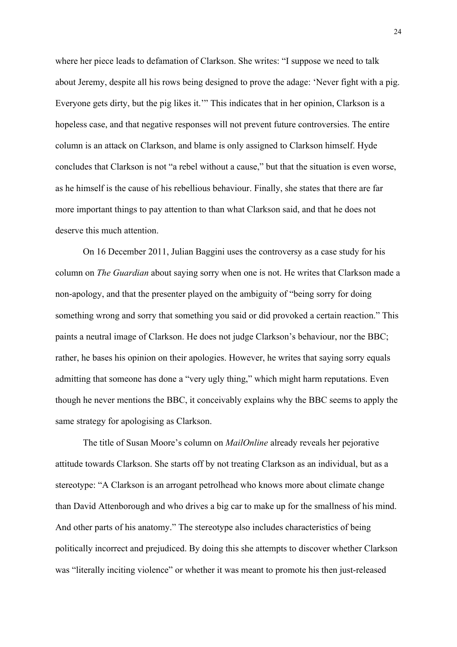where her piece leads to defamation of Clarkson. She writes: "I suppose we need to talk about Jeremy, despite all his rows being designed to prove the adage: 'Never fight with a pig. Everyone gets dirty, but the pig likes it.'" This indicates that in her opinion, Clarkson is a hopeless case, and that negative responses will not prevent future controversies. The entire column is an attack on Clarkson, and blame is only assigned to Clarkson himself. Hyde concludes that Clarkson is not "a rebel without a cause," but that the situation is even worse, as he himself is the cause of his rebellious behaviour. Finally, she states that there are far more important things to pay attention to than what Clarkson said, and that he does not deserve this much attention.

On 16 December 2011, Julian Baggini uses the controversy as a case study for his column on *The Guardian* about saying sorry when one is not. He writes that Clarkson made a non-apology, and that the presenter played on the ambiguity of "being sorry for doing something wrong and sorry that something you said or did provoked a certain reaction." This paints a neutral image of Clarkson. He does not judge Clarkson's behaviour, nor the BBC; rather, he bases his opinion on their apologies. However, he writes that saying sorry equals admitting that someone has done a "very ugly thing," which might harm reputations. Even though he never mentions the BBC, it conceivably explains why the BBC seems to apply the same strategy for apologising as Clarkson.

The title of Susan Moore's column on *MailOnline* already reveals her pejorative attitude towards Clarkson. She starts off by not treating Clarkson as an individual, but as a stereotype: "A Clarkson is an arrogant petrolhead who knows more about climate change than David Attenborough and who drives a big car to make up for the smallness of his mind. And other parts of his anatomy." The stereotype also includes characteristics of being politically incorrect and prejudiced. By doing this she attempts to discover whether Clarkson was "literally inciting violence" or whether it was meant to promote his then just-released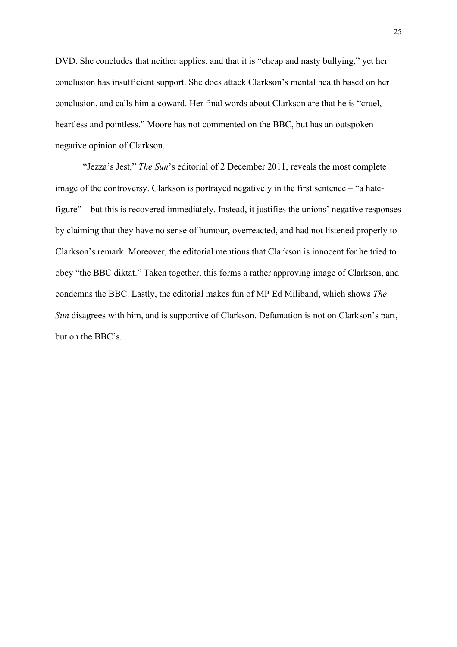DVD. She concludes that neither applies, and that it is "cheap and nasty bullying," yet her conclusion has insufficient support. She does attack Clarkson's mental health based on her conclusion, and calls him a coward. Her final words about Clarkson are that he is "cruel, heartless and pointless." Moore has not commented on the BBC, but has an outspoken negative opinion of Clarkson.

"Jezza's Jest," *The Sun*'s editorial of 2 December 2011, reveals the most complete image of the controversy. Clarkson is portrayed negatively in the first sentence – "a hatefigure" – but this is recovered immediately. Instead, it justifies the unions' negative responses by claiming that they have no sense of humour, overreacted, and had not listened properly to Clarkson's remark. Moreover, the editorial mentions that Clarkson is innocent for he tried to obey "the BBC diktat." Taken together, this forms a rather approving image of Clarkson, and condemns the BBC. Lastly, the editorial makes fun of MP Ed Miliband, which shows *The Sun* disagrees with him, and is supportive of Clarkson. Defamation is not on Clarkson's part, but on the BBC's.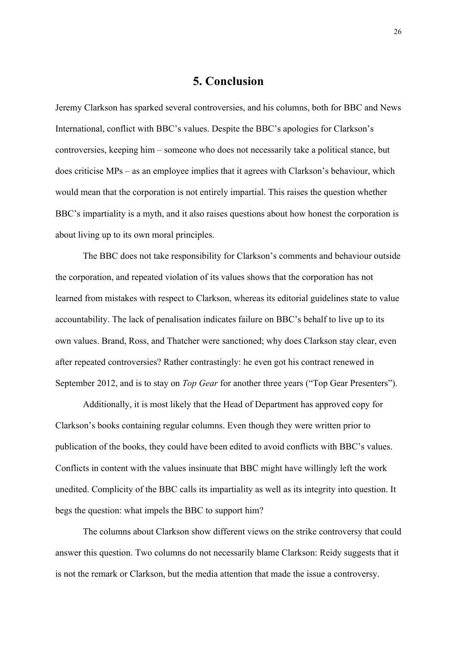## **5. Conclusion**

Jeremy Clarkson has sparked several controversies, and his columns, both for BBC and News International, conflict with BBC's values. Despite the BBC's apologies for Clarkson's controversies, keeping him – someone who does not necessarily take a political stance, but does criticise MPs – as an employee implies that it agrees with Clarkson's behaviour, which would mean that the corporation is not entirely impartial. This raises the question whether BBC's impartiality is a myth, and it also raises questions about how honest the corporation is about living up to its own moral principles.

The BBC does not take responsibility for Clarkson's comments and behaviour outside the corporation, and repeated violation of its values shows that the corporation has not learned from mistakes with respect to Clarkson, whereas its editorial guidelines state to value accountability. The lack of penalisation indicates failure on BBC's behalf to live up to its own values. Brand, Ross, and Thatcher were sanctioned; why does Clarkson stay clear, even after repeated controversies? Rather contrastingly: he even got his contract renewed in September 2012, and is to stay on *Top Gear* for another three years ("Top Gear Presenters").

Additionally, it is most likely that the Head of Department has approved copy for Clarkson's books containing regular columns. Even though they were written prior to publication of the books, they could have been edited to avoid conflicts with BBC's values. Conflicts in content with the values insinuate that BBC might have willingly left the work unedited. Complicity of the BBC calls its impartiality as well as its integrity into question. It begs the question: what impels the BBC to support him?

The columns about Clarkson show different views on the strike controversy that could answer this question. Two columns do not necessarily blame Clarkson: Reidy suggests that it is not the remark or Clarkson, but the media attention that made the issue a controversy.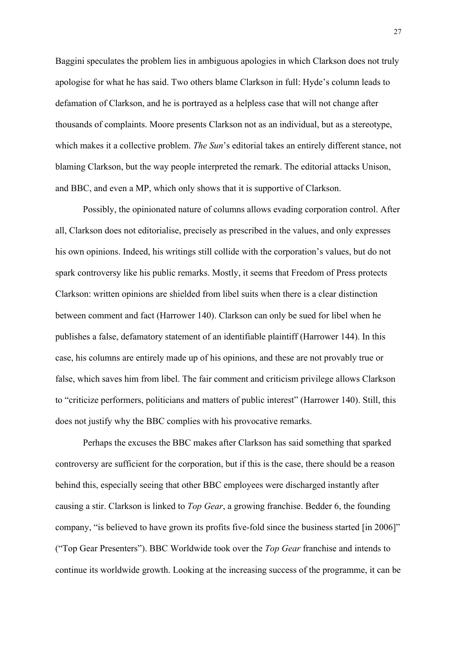Baggini speculates the problem lies in ambiguous apologies in which Clarkson does not truly apologise for what he has said. Two others blame Clarkson in full: Hyde's column leads to defamation of Clarkson, and he is portrayed as a helpless case that will not change after thousands of complaints. Moore presents Clarkson not as an individual, but as a stereotype, which makes it a collective problem. *The Sun*'s editorial takes an entirely different stance, not blaming Clarkson, but the way people interpreted the remark. The editorial attacks Unison, and BBC, and even a MP, which only shows that it is supportive of Clarkson.

Possibly, the opinionated nature of columns allows evading corporation control. After all, Clarkson does not editorialise, precisely as prescribed in the values, and only expresses his own opinions. Indeed, his writings still collide with the corporation's values, but do not spark controversy like his public remarks. Mostly, it seems that Freedom of Press protects Clarkson: written opinions are shielded from libel suits when there is a clear distinction between comment and fact (Harrower 140). Clarkson can only be sued for libel when he publishes a false, defamatory statement of an identifiable plaintiff (Harrower 144). In this case, his columns are entirely made up of his opinions, and these are not provably true or false, which saves him from libel. The fair comment and criticism privilege allows Clarkson to "criticize performers, politicians and matters of public interest" (Harrower 140). Still, this does not justify why the BBC complies with his provocative remarks.

Perhaps the excuses the BBC makes after Clarkson has said something that sparked controversy are sufficient for the corporation, but if this is the case, there should be a reason behind this, especially seeing that other BBC employees were discharged instantly after causing a stir. Clarkson is linked to *Top Gear*, a growing franchise. Bedder 6, the founding company, "is believed to have grown its profits five-fold since the business started [in 2006]" ("Top Gear Presenters"). BBC Worldwide took over the *Top Gear* franchise and intends to continue its worldwide growth. Looking at the increasing success of the programme, it can be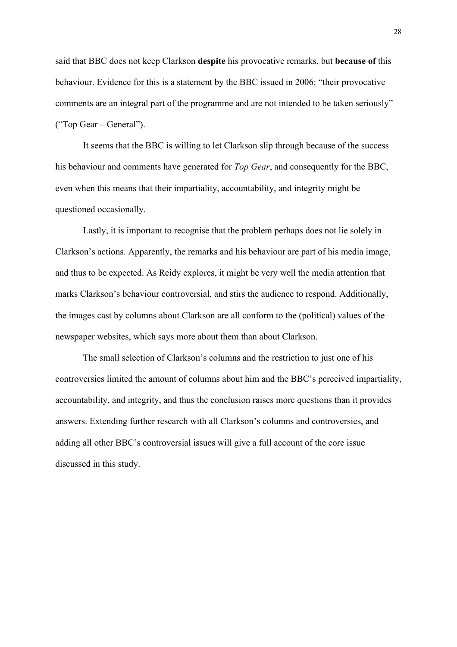said that BBC does not keep Clarkson **despite** his provocative remarks, but **because of** this behaviour. Evidence for this is a statement by the BBC issued in 2006: "their provocative comments are an integral part of the programme and are not intended to be taken seriously" ("Top Gear – General").

It seems that the BBC is willing to let Clarkson slip through because of the success his behaviour and comments have generated for *Top Gear*, and consequently for the BBC, even when this means that their impartiality, accountability, and integrity might be questioned occasionally.

Lastly, it is important to recognise that the problem perhaps does not lie solely in Clarkson's actions. Apparently, the remarks and his behaviour are part of his media image, and thus to be expected. As Reidy explores, it might be very well the media attention that marks Clarkson's behaviour controversial, and stirs the audience to respond. Additionally, the images cast by columns about Clarkson are all conform to the (political) values of the newspaper websites, which says more about them than about Clarkson.

The small selection of Clarkson's columns and the restriction to just one of his controversies limited the amount of columns about him and the BBC's perceived impartiality, accountability, and integrity, and thus the conclusion raises more questions than it provides answers. Extending further research with all Clarkson's columns and controversies, and adding all other BBC's controversial issues will give a full account of the core issue discussed in this study.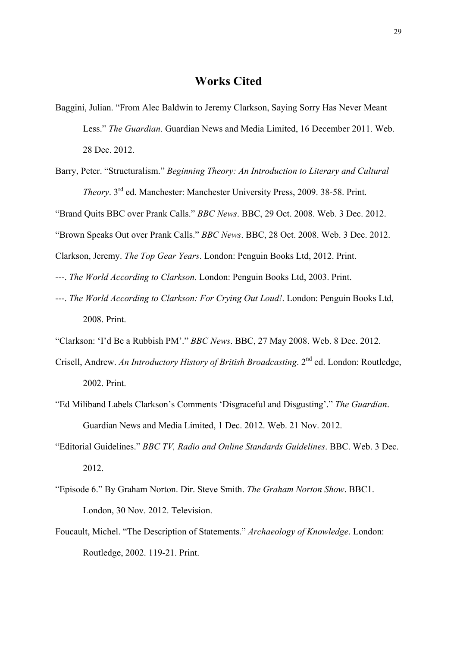## **Works Cited**

- Baggini, Julian. "From Alec Baldwin to Jeremy Clarkson, Saying Sorry Has Never Meant Less." *The Guardian*. Guardian News and Media Limited, 16 December 2011. Web. 28 Dec. 2012.
- Barry, Peter. "Structuralism." *Beginning Theory: An Introduction to Literary and Cultural Theory*. 3rd ed. Manchester: Manchester University Press, 2009. 38-58. Print.

"Brand Quits BBC over Prank Calls." *BBC News*. BBC, 29 Oct. 2008. Web. 3 Dec. 2012.

"Brown Speaks Out over Prank Calls." *BBC News*. BBC, 28 Oct. 2008. Web. 3 Dec. 2012.

Clarkson, Jeremy. *The Top Gear Years*. London: Penguin Books Ltd, 2012. Print.

- ---. *The World According to Clarkson*. London: Penguin Books Ltd, 2003. Print.
- ---. *The World According to Clarkson: For Crying Out Loud!*. London: Penguin Books Ltd, 2008. Print.
- "Clarkson: 'I'd Be a Rubbish PM'." *BBC News*. BBC, 27 May 2008. Web. 8 Dec. 2012.
- Crisell, Andrew. An Introductory History of British Broadcasting. 2<sup>nd</sup> ed. London: Routledge, 2002. Print.
- "Ed Miliband Labels Clarkson's Comments 'Disgraceful and Disgusting'." *The Guardian*. Guardian News and Media Limited, 1 Dec. 2012. Web. 21 Nov. 2012.
- "Editorial Guidelines." *BBC TV, Radio and Online Standards Guidelines*. BBC. Web. 3 Dec. 2012.
- "Episode 6." By Graham Norton. Dir. Steve Smith. *The Graham Norton Show*. BBC1. London, 30 Nov. 2012. Television.
- Foucault, Michel. "The Description of Statements." *Archaeology of Knowledge*. London: Routledge, 2002. 119-21. Print.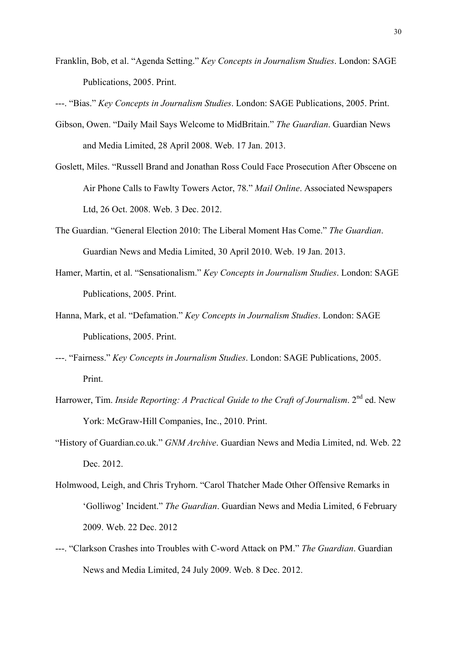- Franklin, Bob, et al. "Agenda Setting." *Key Concepts in Journalism Studies*. London: SAGE Publications, 2005. Print.
- ---. "Bias." *Key Concepts in Journalism Studies*. London: SAGE Publications, 2005. Print.
- Gibson, Owen. "Daily Mail Says Welcome to MidBritain." *The Guardian*. Guardian News and Media Limited, 28 April 2008. Web. 17 Jan. 2013.
- Goslett, Miles. "Russell Brand and Jonathan Ross Could Face Prosecution After Obscene on Air Phone Calls to Fawlty Towers Actor, 78." *Mail Online*. Associated Newspapers Ltd, 26 Oct. 2008. Web. 3 Dec. 2012.
- The Guardian. "General Election 2010: The Liberal Moment Has Come." *The Guardian*. Guardian News and Media Limited, 30 April 2010. Web. 19 Jan. 2013.
- Hamer, Martin, et al. "Sensationalism." *Key Concepts in Journalism Studies*. London: SAGE Publications, 2005. Print.
- Hanna, Mark, et al. "Defamation." *Key Concepts in Journalism Studies*. London: SAGE Publications, 2005. Print.
- ---. "Fairness." *Key Concepts in Journalism Studies*. London: SAGE Publications, 2005. Print.
- Harrower, Tim. *Inside Reporting: A Practical Guide to the Craft of Journalism*. 2<sup>nd</sup> ed. New York: McGraw-Hill Companies, Inc., 2010. Print.
- "History of Guardian.co.uk." *GNM Archive*. Guardian News and Media Limited, nd. Web. 22 Dec. 2012.
- Holmwood, Leigh, and Chris Tryhorn. "Carol Thatcher Made Other Offensive Remarks in 'Golliwog' Incident." *The Guardian*. Guardian News and Media Limited, 6 February 2009. Web. 22 Dec. 2012
- ---. "Clarkson Crashes into Troubles with C-word Attack on PM." *The Guardian*. Guardian News and Media Limited, 24 July 2009. Web. 8 Dec. 2012.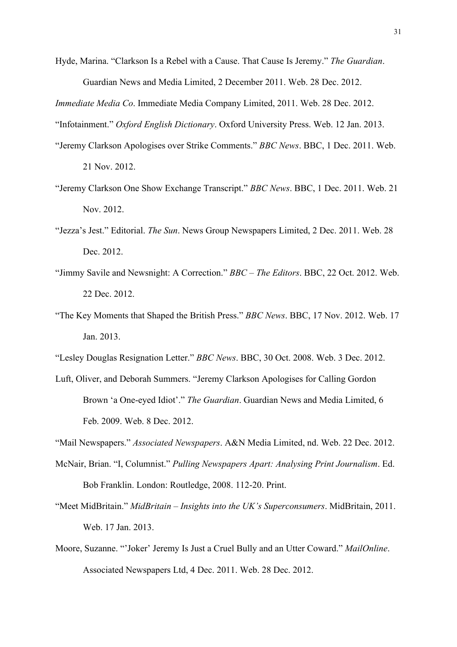Hyde, Marina. "Clarkson Is a Rebel with a Cause. That Cause Is Jeremy." *The Guardian*. Guardian News and Media Limited, 2 December 2011. Web. 28 Dec. 2012.

*Immediate Media Co*. Immediate Media Company Limited, 2011. Web. 28 Dec. 2012.

"Infotainment." *Oxford English Dictionary*. Oxford University Press. Web. 12 Jan. 2013.

- "Jeremy Clarkson Apologises over Strike Comments." *BBC News*. BBC, 1 Dec. 2011. Web. 21 Nov. 2012.
- "Jeremy Clarkson One Show Exchange Transcript." *BBC News*. BBC, 1 Dec. 2011. Web. 21 Nov. 2012.
- "Jezza's Jest." Editorial. *The Sun*. News Group Newspapers Limited, 2 Dec. 2011. Web. 28 Dec. 2012.
- "Jimmy Savile and Newsnight: A Correction." *BBC The Editors*. BBC, 22 Oct. 2012. Web. 22 Dec. 2012.
- "The Key Moments that Shaped the British Press." *BBC News*. BBC, 17 Nov. 2012. Web. 17 Jan. 2013.

"Lesley Douglas Resignation Letter." *BBC News*. BBC, 30 Oct. 2008. Web. 3 Dec. 2012.

Luft, Oliver, and Deborah Summers. "Jeremy Clarkson Apologises for Calling Gordon Brown 'a One-eyed Idiot'." *The Guardian*. Guardian News and Media Limited, 6 Feb. 2009. Web. 8 Dec. 2012.

"Mail Newspapers." *Associated Newspapers*. A&N Media Limited, nd. Web. 22 Dec. 2012.

- McNair, Brian. "I, Columnist." *Pulling Newspapers Apart: Analysing Print Journalism*. Ed. Bob Franklin. London: Routledge, 2008. 112-20. Print.
- "Meet MidBritain." *MidBritain Insights into the UK's Superconsumers*. MidBritain, 2011. Web. 17 Jan. 2013.
- Moore, Suzanne. "'Joker' Jeremy Is Just a Cruel Bully and an Utter Coward." *MailOnline*. Associated Newspapers Ltd, 4 Dec. 2011. Web. 28 Dec. 2012.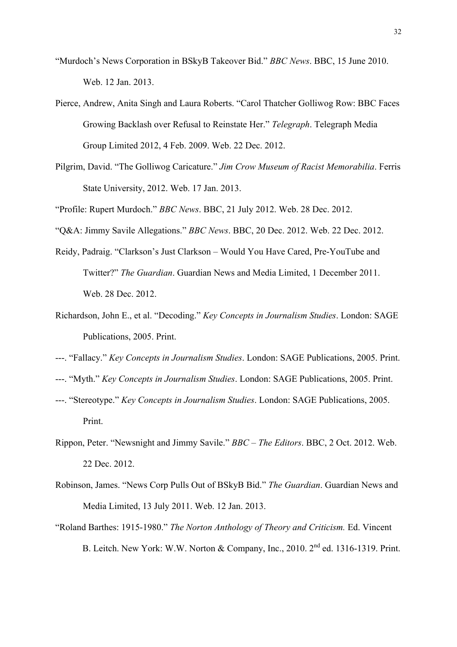- "Murdoch's News Corporation in BSkyB Takeover Bid." *BBC News*. BBC, 15 June 2010. Web. 12 Jan. 2013.
- Pierce, Andrew, Anita Singh and Laura Roberts. "Carol Thatcher Golliwog Row: BBC Faces Growing Backlash over Refusal to Reinstate Her." *Telegraph*. Telegraph Media Group Limited 2012, 4 Feb. 2009. Web. 22 Dec. 2012.
- Pilgrim, David. "The Golliwog Caricature." *Jim Crow Museum of Racist Memorabilia*. Ferris State University, 2012. Web. 17 Jan. 2013.

"Profile: Rupert Murdoch." *BBC News*. BBC, 21 July 2012. Web. 28 Dec. 2012.

"Q&A: Jimmy Savile Allegations." *BBC News*. BBC, 20 Dec. 2012. Web. 22 Dec. 2012.

- Reidy, Padraig. "Clarkson's Just Clarkson Would You Have Cared, Pre-YouTube and Twitter?" *The Guardian*. Guardian News and Media Limited, 1 December 2011. Web. 28 Dec. 2012.
- Richardson, John E., et al. "Decoding." *Key Concepts in Journalism Studies*. London: SAGE Publications, 2005. Print.
- ---. "Fallacy." *Key Concepts in Journalism Studies*. London: SAGE Publications, 2005. Print.
- ---. "Myth." *Key Concepts in Journalism Studies*. London: SAGE Publications, 2005. Print.
- ---. "Stereotype." *Key Concepts in Journalism Studies*. London: SAGE Publications, 2005. Print.
- Rippon, Peter. "Newsnight and Jimmy Savile." *BBC The Editors*. BBC, 2 Oct. 2012. Web. 22 Dec. 2012.
- Robinson, James. "News Corp Pulls Out of BSkyB Bid." *The Guardian*. Guardian News and Media Limited, 13 July 2011. Web. 12 Jan. 2013.
- "Roland Barthes: 1915-1980." *The Norton Anthology of Theory and Criticism.* Ed. Vincent B. Leitch. New York: W.W. Norton & Company, Inc., 2010. 2nd ed. 1316-1319. Print.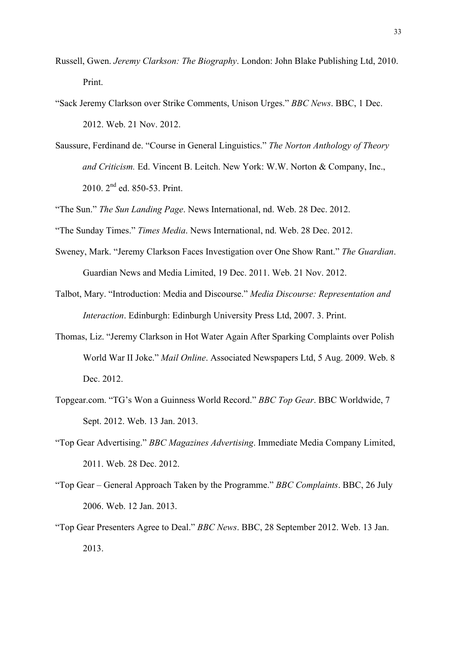- Russell, Gwen. *Jeremy Clarkson: The Biography*. London: John Blake Publishing Ltd, 2010. Print.
- "Sack Jeremy Clarkson over Strike Comments, Unison Urges." *BBC News*. BBC, 1 Dec. 2012. Web. 21 Nov. 2012.
- Saussure, Ferdinand de. "Course in General Linguistics." *The Norton Anthology of Theory and Criticism.* Ed. Vincent B. Leitch. New York: W.W. Norton & Company, Inc., 2010. 2nd ed. 850-53. Print.

"The Sun." *The Sun Landing Page*. News International, nd. Web. 28 Dec. 2012.

"The Sunday Times." *Times Media*. News International, nd. Web. 28 Dec. 2012.

- Sweney, Mark. "Jeremy Clarkson Faces Investigation over One Show Rant." *The Guardian*. Guardian News and Media Limited, 19 Dec. 2011. Web. 21 Nov. 2012.
- Talbot, Mary. "Introduction: Media and Discourse." *Media Discourse: Representation and Interaction*. Edinburgh: Edinburgh University Press Ltd, 2007. 3. Print.
- Thomas, Liz. "Jeremy Clarkson in Hot Water Again After Sparking Complaints over Polish World War II Joke." *Mail Online*. Associated Newspapers Ltd, 5 Aug. 2009. Web. 8 Dec. 2012.
- Topgear.com. "TG's Won a Guinness World Record." *BBC Top Gear*. BBC Worldwide, 7 Sept. 2012. Web. 13 Jan. 2013.
- "Top Gear Advertising." *BBC Magazines Advertising*. Immediate Media Company Limited, 2011. Web. 28 Dec. 2012.
- "Top Gear General Approach Taken by the Programme." *BBC Complaints*. BBC, 26 July 2006. Web. 12 Jan. 2013.
- "Top Gear Presenters Agree to Deal." *BBC News*. BBC, 28 September 2012. Web. 13 Jan. 2013.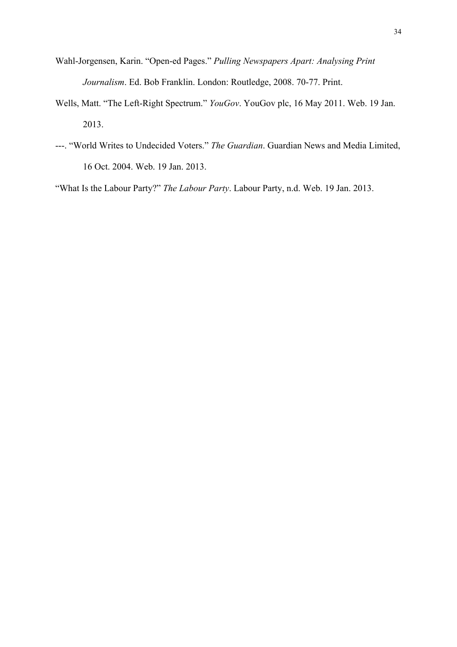- Wahl-Jorgensen, Karin. "Open-ed Pages." *Pulling Newspapers Apart: Analysing Print Journalism*. Ed. Bob Franklin. London: Routledge, 2008. 70-77. Print.
- Wells, Matt. "The Left-Right Spectrum." *YouGov*. YouGov plc, 16 May 2011. Web. 19 Jan. 2013.
- ---. "World Writes to Undecided Voters." *The Guardian*. Guardian News and Media Limited, 16 Oct. 2004. Web. 19 Jan. 2013.

"What Is the Labour Party?" *The Labour Party*. Labour Party, n.d. Web. 19 Jan. 2013.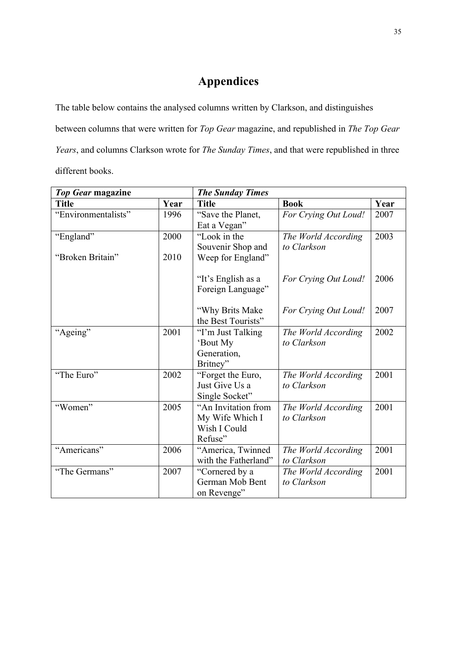# **Appendices**

The table below contains the analysed columns written by Clarkson, and distinguishes between columns that were written for *Top Gear* magazine, and republished in *The Top Gear Years*, and columns Clarkson wrote for *The Sunday Times*, and that were republished in three different books.

| <b>Top Gear magazine</b> |      | <b>The Sunday Times</b> |                      |      |  |
|--------------------------|------|-------------------------|----------------------|------|--|
| <b>Title</b>             | Year | <b>Title</b>            | <b>Book</b>          | Year |  |
| "Environmentalists"      | 1996 | "Save the Planet,       | For Crying Out Loud! | 2007 |  |
|                          |      | Eat a Vegan"            |                      |      |  |
| "England"                | 2000 | "Look in the            | The World According  | 2003 |  |
|                          |      | Souvenir Shop and       | to Clarkson          |      |  |
| "Broken Britain"         | 2010 | Weep for England"       |                      |      |  |
|                          |      | "It's English as a      | For Crying Out Loud! | 2006 |  |
|                          |      | Foreign Language"       |                      |      |  |
|                          |      |                         |                      |      |  |
|                          |      | "Why Brits Make         | For Crying Out Loud! | 2007 |  |
|                          |      | the Best Tourists"      |                      |      |  |
| "Ageing"                 | 2001 | "I'm Just Talking       | The World According  | 2002 |  |
|                          |      | 'Bout My                | to Clarkson          |      |  |
|                          |      | Generation,             |                      |      |  |
|                          |      | Britney"                |                      |      |  |
| "The Euro"               | 2002 | "Forget the Euro,       | The World According  | 2001 |  |
|                          |      | Just Give Us a          | to Clarkson          |      |  |
|                          |      | Single Socket"          |                      |      |  |
| "Women"                  | 2005 | "An Invitation from     | The World According  | 2001 |  |
|                          |      | My Wife Which I         | to Clarkson          |      |  |
|                          |      | Wish I Could            |                      |      |  |
|                          |      | Refuse"                 |                      |      |  |
| "Americans"              | 2006 | "America, Twinned       | The World According  | 2001 |  |
|                          |      | with the Fatherland"    | to Clarkson          |      |  |
| "The Germans"            | 2007 | "Cornered by a          | The World According  | 2001 |  |
|                          |      | German Mob Bent         | to Clarkson          |      |  |
|                          |      | on Revenge"             |                      |      |  |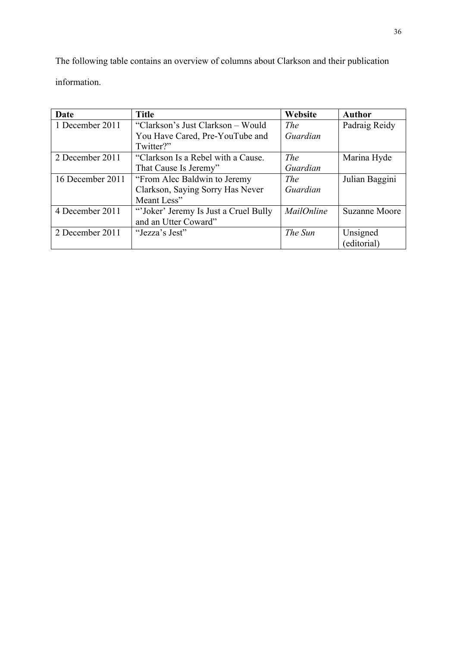The following table contains an overview of columns about Clarkson and their publication information.

| Date             | <b>Title</b>                         | Website           | <b>Author</b>        |
|------------------|--------------------------------------|-------------------|----------------------|
| 1 December 2011  | "Clarkson's Just Clarkson – Would    | <i>The</i>        | Padraig Reidy        |
|                  | You Have Cared, Pre-YouTube and      | Guardian          |                      |
|                  | Twitter?"                            |                   |                      |
| 2 December 2011  | "Clarkson Is a Rebel with a Cause.   | The               | Marina Hyde          |
|                  | That Cause Is Jeremy"                | Guardian          |                      |
| 16 December 2011 | "From Alec Baldwin to Jeremy         | The               | Julian Baggini       |
|                  | Clarkson, Saying Sorry Has Never     | Guardian          |                      |
|                  | Meant Less"                          |                   |                      |
| 4 December 2011  | "Joker' Jeremy Is Just a Cruel Bully | <b>MailOnline</b> | <b>Suzanne Moore</b> |
|                  | and an Utter Coward"                 |                   |                      |
| 2 December 2011  | "Jezza's Jest"                       | The Sun           | Unsigned             |
|                  |                                      |                   | (editorial)          |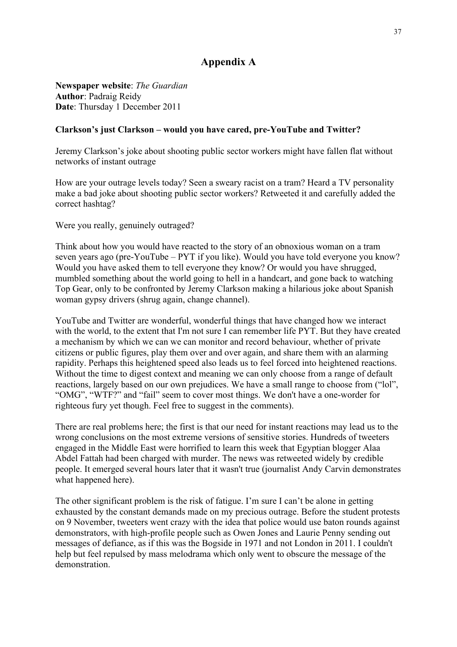# **Appendix A**

**Newspaper website**: *The Guardian* **Author**: Padraig Reidy **Date**: Thursday 1 December 2011

### **Clarkson's just Clarkson – would you have cared, pre-YouTube and Twitter?**

Jeremy Clarkson's joke about shooting public sector workers might have fallen flat without networks of instant outrage

How are your outrage levels today? Seen a sweary racist on a tram? Heard a TV personality make a bad joke about shooting public sector workers? Retweeted it and carefully added the correct hashtag?

Were you really, genuinely outraged?

Think about how you would have reacted to the story of an obnoxious woman on a tram seven years ago (pre-YouTube – PYT if you like). Would you have told everyone you know? Would you have asked them to tell everyone they know? Or would you have shrugged, mumbled something about the world going to hell in a handcart, and gone back to watching Top Gear, only to be confronted by Jeremy Clarkson making a hilarious joke about Spanish woman gypsy drivers (shrug again, change channel).

YouTube and Twitter are wonderful, wonderful things that have changed how we interact with the world, to the extent that I'm not sure I can remember life PYT. But they have created a mechanism by which we can we can monitor and record behaviour, whether of private citizens or public figures, play them over and over again, and share them with an alarming rapidity. Perhaps this heightened speed also leads us to feel forced into heightened reactions. Without the time to digest context and meaning we can only choose from a range of default reactions, largely based on our own prejudices. We have a small range to choose from ("lol", "OMG", "WTF?" and "fail" seem to cover most things. We don't have a one-worder for righteous fury yet though. Feel free to suggest in the comments).

There are real problems here; the first is that our need for instant reactions may lead us to the wrong conclusions on the most extreme versions of sensitive stories. Hundreds of tweeters engaged in the Middle East were horrified to learn this week that Egyptian blogger Alaa Abdel Fattah had been charged with murder. The news was retweeted widely by credible people. It emerged several hours later that it wasn't true (journalist Andy Carvin demonstrates what happened here).

The other significant problem is the risk of fatigue. I'm sure I can't be alone in getting exhausted by the constant demands made on my precious outrage. Before the student protests on 9 November, tweeters went crazy with the idea that police would use baton rounds against demonstrators, with high-profile people such as Owen Jones and Laurie Penny sending out messages of defiance, as if this was the Bogside in 1971 and not London in 2011. I couldn't help but feel repulsed by mass melodrama which only went to obscure the message of the demonstration.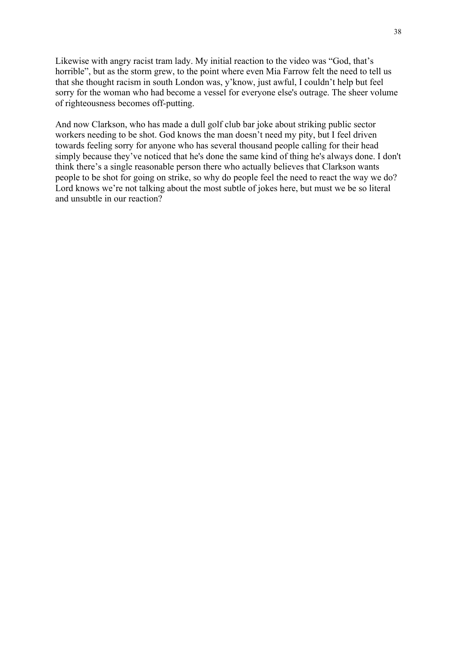Likewise with angry racist tram lady. My initial reaction to the video was "God, that's horrible", but as the storm grew, to the point where even Mia Farrow felt the need to tell us that she thought racism in south London was, y'know, just awful, I couldn't help but feel sorry for the woman who had become a vessel for everyone else's outrage. The sheer volume of righteousness becomes off-putting.

And now Clarkson, who has made a dull golf club bar joke about striking public sector workers needing to be shot. God knows the man doesn't need my pity, but I feel driven towards feeling sorry for anyone who has several thousand people calling for their head simply because they've noticed that he's done the same kind of thing he's always done. I don't think there's a single reasonable person there who actually believes that Clarkson wants people to be shot for going on strike, so why do people feel the need to react the way we do? Lord knows we're not talking about the most subtle of jokes here, but must we be so literal and unsubtle in our reaction?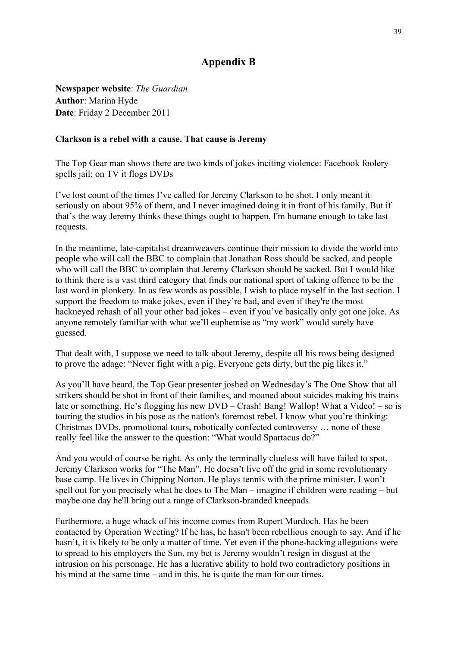# **Appendix B**

**Newspaper website**: *The Guardian* **Author**: Marina Hyde **Date**: Friday 2 December 2011

### **Clarkson is a rebel with a cause. That cause is Jeremy**

The Top Gear man shows there are two kinds of jokes inciting violence: Facebook foolery spells jail; on TV it flogs DVDs

I've lost count of the times I've called for Jeremy Clarkson to be shot. I only meant it seriously on about 95% of them, and I never imagined doing it in front of his family. But if that's the way Jeremy thinks these things ought to happen, I'm humane enough to take last requests.

In the meantime, late-capitalist dreamweavers continue their mission to divide the world into people who will call the BBC to complain that Jonathan Ross should be sacked, and people who will call the BBC to complain that Jeremy Clarkson should be sacked. But I would like to think there is a vast third category that finds our national sport of taking offence to be the last word in plonkery. In as few words as possible, I wish to place myself in the last section. I support the freedom to make jokes, even if they're bad, and even if they're the most hackneyed rehash of all your other bad jokes – even if you've basically only got one joke. As anyone remotely familiar with what we'll euphemise as "my work" would surely have guessed.

That dealt with, I suppose we need to talk about Jeremy, despite all his rows being designed to prove the adage: "Never fight with a pig. Everyone gets dirty, but the pig likes it."

As you'll have heard, the Top Gear presenter joshed on Wednesday's The One Show that all strikers should be shot in front of their families, and moaned about suicides making his trains late or something. He's flogging his new DVD – Crash! Bang! Wallop! What a Video! **–** so is touring the studios in his pose as the nation's foremost rebel. I know what you're thinking: Christmas DVDs, promotional tours, robotically confected controversy … none of these really feel like the answer to the question: "What would Spartacus do?"

And you would of course be right. As only the terminally clueless will have failed to spot, Jeremy Clarkson works for "The Man". He doesn't live off the grid in some revolutionary base camp. He lives in Chipping Norton. He plays tennis with the prime minister. I won't spell out for you precisely what he does to The Man – imagine if children were reading – but maybe one day he'll bring out a range of Clarkson-branded kneepads.

Furthermore, a huge whack of his income comes from Rupert Murdoch. Has he been contacted by Operation Weeting? If he has, he hasn't been rebellious enough to say. And if he hasn't, it is likely to be only a matter of time. Yet even if the phone-hacking allegations were to spread to his employers the Sun, my bet is Jeremy wouldn't resign in disgust at the intrusion on his personage. He has a lucrative ability to hold two contradictory positions in his mind at the same time – and in this, he is quite the man for our times.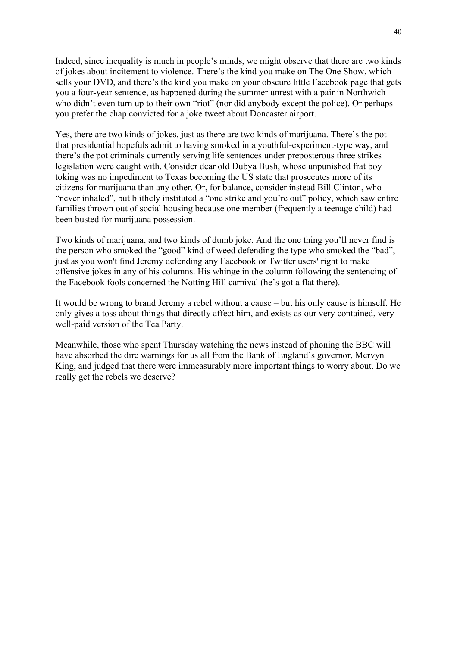Indeed, since inequality is much in people's minds, we might observe that there are two kinds of jokes about incitement to violence. There's the kind you make on The One Show, which sells your DVD, and there's the kind you make on your obscure little Facebook page that gets you a four-year sentence, as happened during the summer unrest with a pair in Northwich who didn't even turn up to their own "riot" (nor did anybody except the police). Or perhaps you prefer the chap convicted for a joke tweet about Doncaster airport.

Yes, there are two kinds of jokes, just as there are two kinds of marijuana. There's the pot that presidential hopefuls admit to having smoked in a youthful-experiment-type way, and there's the pot criminals currently serving life sentences under preposterous three strikes legislation were caught with. Consider dear old Dubya Bush, whose unpunished frat boy toking was no impediment to Texas becoming the US state that prosecutes more of its citizens for marijuana than any other. Or, for balance, consider instead Bill Clinton, who "never inhaled", but blithely instituted a "one strike and you're out" policy, which saw entire families thrown out of social housing because one member (frequently a teenage child) had been busted for marijuana possession.

Two kinds of marijuana, and two kinds of dumb joke. And the one thing you'll never find is the person who smoked the "good" kind of weed defending the type who smoked the "bad", just as you won't find Jeremy defending any Facebook or Twitter users' right to make offensive jokes in any of his columns. His whinge in the column following the sentencing of the Facebook fools concerned the Notting Hill carnival (he's got a flat there).

It would be wrong to brand Jeremy a rebel without a cause – but his only cause is himself. He only gives a toss about things that directly affect him, and exists as our very contained, very well-paid version of the Tea Party.

Meanwhile, those who spent Thursday watching the news instead of phoning the BBC will have absorbed the dire warnings for us all from the Bank of England's governor, Mervyn King, and judged that there were immeasurably more important things to worry about. Do we really get the rebels we deserve?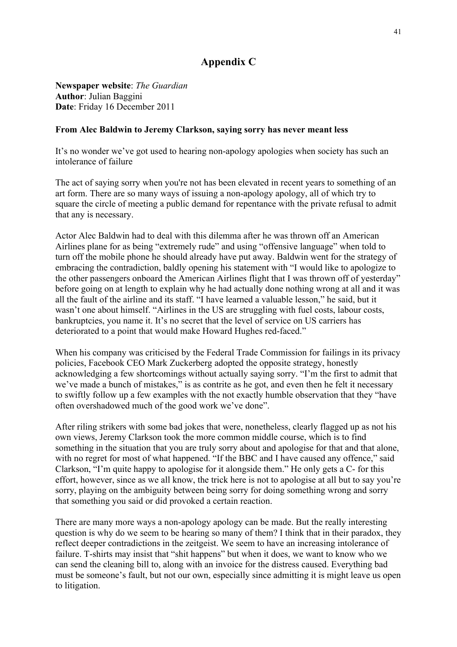# **Appendix C**

**Newspaper website**: *The Guardian* **Author**: Julian Baggini **Date**: Friday 16 December 2011

### **From Alec Baldwin to Jeremy Clarkson, saying sorry has never meant less**

It's no wonder we've got used to hearing non-apology apologies when society has such an intolerance of failure

The act of saying sorry when you're not has been elevated in recent years to something of an art form. There are so many ways of issuing a non-apology apology, all of which try to square the circle of meeting a public demand for repentance with the private refusal to admit that any is necessary.

Actor Alec Baldwin had to deal with this dilemma after he was thrown off an American Airlines plane for as being "extremely rude" and using "offensive language" when told to turn off the mobile phone he should already have put away. Baldwin went for the strategy of embracing the contradiction, baldly opening his statement with "I would like to apologize to the other passengers onboard the American Airlines flight that I was thrown off of yesterday" before going on at length to explain why he had actually done nothing wrong at all and it was all the fault of the airline and its staff. "I have learned a valuable lesson," he said, but it wasn't one about himself. "Airlines in the US are struggling with fuel costs, labour costs, bankruptcies, you name it. It's no secret that the level of service on US carriers has deteriorated to a point that would make Howard Hughes red-faced."

When his company was criticised by the Federal Trade Commission for failings in its privacy policies, Facebook CEO Mark Zuckerberg adopted the opposite strategy, honestly acknowledging a few shortcomings without actually saying sorry. "I'm the first to admit that we've made a bunch of mistakes," is as contrite as he got, and even then he felt it necessary to swiftly follow up a few examples with the not exactly humble observation that they "have often overshadowed much of the good work we've done".

After riling strikers with some bad jokes that were, nonetheless, clearly flagged up as not his own views, Jeremy Clarkson took the more common middle course, which is to find something in the situation that you are truly sorry about and apologise for that and that alone, with no regret for most of what happened. "If the BBC and I have caused any offence," said Clarkson, "I'm quite happy to apologise for it alongside them." He only gets a C- for this effort, however, since as we all know, the trick here is not to apologise at all but to say you're sorry, playing on the ambiguity between being sorry for doing something wrong and sorry that something you said or did provoked a certain reaction.

There are many more ways a non-apology apology can be made. But the really interesting question is why do we seem to be hearing so many of them? I think that in their paradox, they reflect deeper contradictions in the zeitgeist. We seem to have an increasing intolerance of failure. T-shirts may insist that "shit happens" but when it does, we want to know who we can send the cleaning bill to, along with an invoice for the distress caused. Everything bad must be someone's fault, but not our own, especially since admitting it is might leave us open to litigation.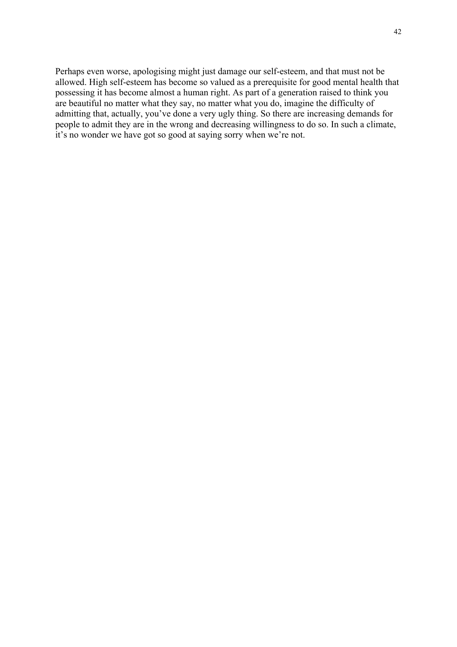Perhaps even worse, apologising might just damage our self-esteem, and that must not be allowed. High self-esteem has become so valued as a prerequisite for good mental health that possessing it has become almost a human right. As part of a generation raised to think you are beautiful no matter what they say, no matter what you do, imagine the difficulty of admitting that, actually, you've done a very ugly thing. So there are increasing demands for people to admit they are in the wrong and decreasing willingness to do so. In such a climate, it's no wonder we have got so good at saying sorry when we're not.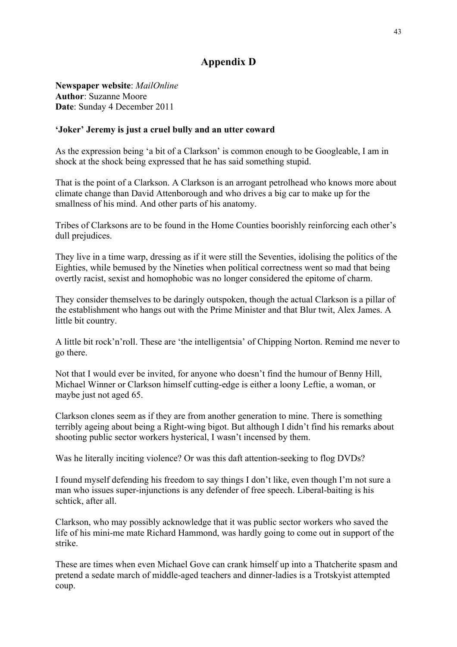# **Appendix D**

**Newspaper website**: *MailOnline* **Author**: Suzanne Moore **Date**: Sunday 4 December 2011

### **'Joker' Jeremy is just a cruel bully and an utter coward**

As the expression being 'a bit of a Clarkson' is common enough to be Googleable, I am in shock at the shock being expressed that he has said something stupid.

That is the point of a Clarkson. A Clarkson is an arrogant petrolhead who knows more about climate change than David Attenborough and who drives a big car to make up for the smallness of his mind. And other parts of his anatomy.

Tribes of Clarksons are to be found in the Home Counties boorishly reinforcing each other's dull prejudices.

They live in a time warp, dressing as if it were still the Seventies, idolising the politics of the Eighties, while bemused by the Nineties when political correctness went so mad that being overtly racist, sexist and homophobic was no longer considered the epitome of charm.

They consider themselves to be daringly outspoken, though the actual Clarkson is a pillar of the establishment who hangs out with the Prime Minister and that Blur twit, Alex James. A little bit country.

A little bit rock'n'roll. These are 'the intelligentsia' of Chipping Norton. Remind me never to go there.

Not that I would ever be invited, for anyone who doesn't find the humour of Benny Hill, Michael Winner or Clarkson himself cutting-edge is either a loony Leftie, a woman, or maybe just not aged 65.

Clarkson clones seem as if they are from another generation to mine. There is something terribly ageing about being a Right-wing bigot. But although I didn't find his remarks about shooting public sector workers hysterical, I wasn't incensed by them.

Was he literally inciting violence? Or was this daft attention-seeking to flog DVDs?

I found myself defending his freedom to say things I don't like, even though I'm not sure a man who issues super-injunctions is any defender of free speech. Liberal-baiting is his schtick, after all.

Clarkson, who may possibly acknowledge that it was public sector workers who saved the life of his mini-me mate Richard Hammond, was hardly going to come out in support of the strike.

These are times when even Michael Gove can crank himself up into a Thatcherite spasm and pretend a sedate march of middle-aged teachers and dinner-ladies is a Trotskyist attempted coup.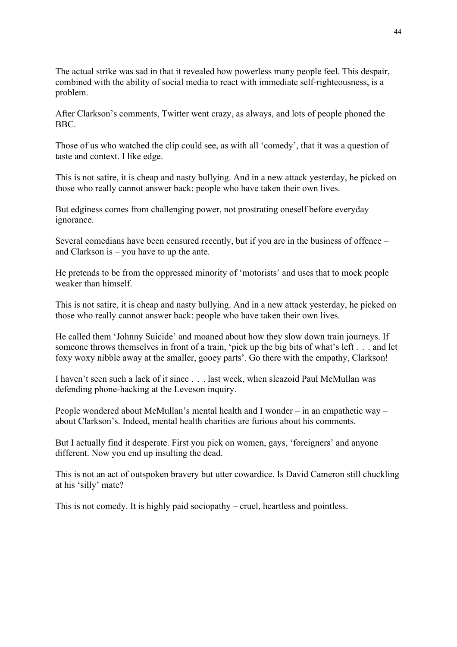The actual strike was sad in that it revealed how powerless many people feel. This despair, combined with the ability of social media to react with immediate self-righteousness, is a problem.

After Clarkson's comments, Twitter went crazy, as always, and lots of people phoned the BBC.

Those of us who watched the clip could see, as with all 'comedy', that it was a question of taste and context. I like edge.

This is not satire, it is cheap and nasty bullying. And in a new attack yesterday, he picked on those who really cannot answer back: people who have taken their own lives.

But edginess comes from challenging power, not prostrating oneself before everyday ignorance.

Several comedians have been censured recently, but if you are in the business of offence – and Clarkson is – you have to up the ante.

He pretends to be from the oppressed minority of 'motorists' and uses that to mock people weaker than himself.

This is not satire, it is cheap and nasty bullying. And in a new attack yesterday, he picked on those who really cannot answer back: people who have taken their own lives.

He called them 'Johnny Suicide' and moaned about how they slow down train journeys. If someone throws themselves in front of a train, 'pick up the big bits of what's left . . . and let foxy woxy nibble away at the smaller, gooey parts'. Go there with the empathy, Clarkson!

I haven't seen such a lack of it since .  .  . last week, when sleazoid Paul McMullan was defending phone-hacking at the Leveson inquiry.

People wondered about McMullan's mental health and I wonder – in an empathetic way – about Clarkson's. Indeed, mental health charities are furious about his comments.

But I actually find it desperate. First you pick on women, gays, 'foreigners' and anyone different. Now you end up insulting the dead.

This is not an act of outspoken bravery but utter cowardice. Is David Cameron still chuckling at his 'silly' mate?

This is not comedy. It is highly paid sociopathy – cruel, heartless and pointless.